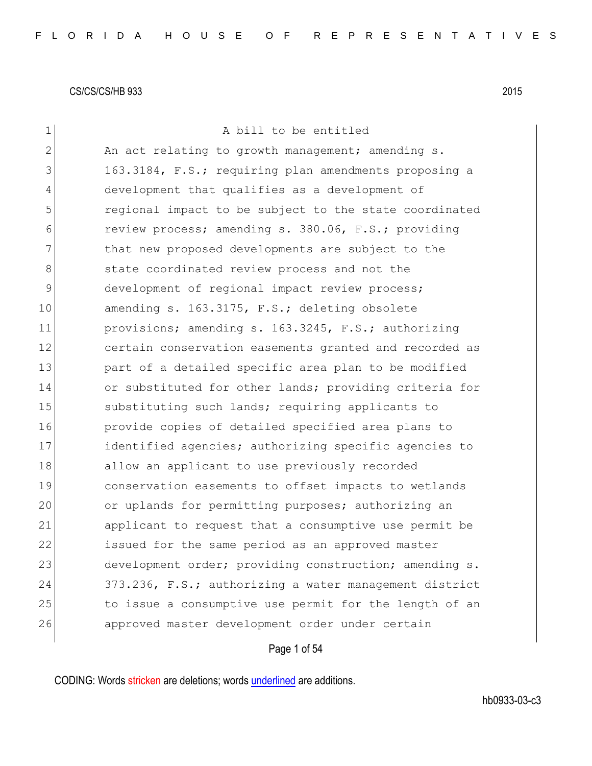| 1            | A bill to be entitled                                  |
|--------------|--------------------------------------------------------|
| $\mathbf{2}$ | An act relating to growth management; amending s.      |
| 3            | 163.3184, F.S.; requiring plan amendments proposing a  |
| 4            | development that qualifies as a development of         |
| 5            | regional impact to be subject to the state coordinated |
| 6            | review process; amending s. 380.06, F.S.; providing    |
| 7            | that new proposed developments are subject to the      |
| 8            | state coordinated review process and not the           |
| 9            | development of regional impact review process;         |
| 10           | amending s. 163.3175, F.S.; deleting obsolete          |
| 11           | provisions; amending s. 163.3245, F.S.; authorizing    |
| 12           | certain conservation easements granted and recorded as |
| 13           | part of a detailed specific area plan to be modified   |
| 14           | or substituted for other lands; providing criteria for |
| 15           | substituting such lands; requiring applicants to       |
| 16           | provide copies of detailed specified area plans to     |
| 17           | identified agencies; authorizing specific agencies to  |
| 18           | allow an applicant to use previously recorded          |
| 19           | conservation easements to offset impacts to wetlands   |
| 20           | or uplands for permitting purposes; authorizing an     |
| 21           | applicant to request that a consumptive use permit be  |
| 22           | issued for the same period as an approved master       |
| 23           | development order; providing construction; amending s. |
| 24           | 373.236, F.S.; authorizing a water management district |
| 25           | to issue a consumptive use permit for the length of an |
| 26           | approved master development order under certain        |
|              |                                                        |

Page 1 of 54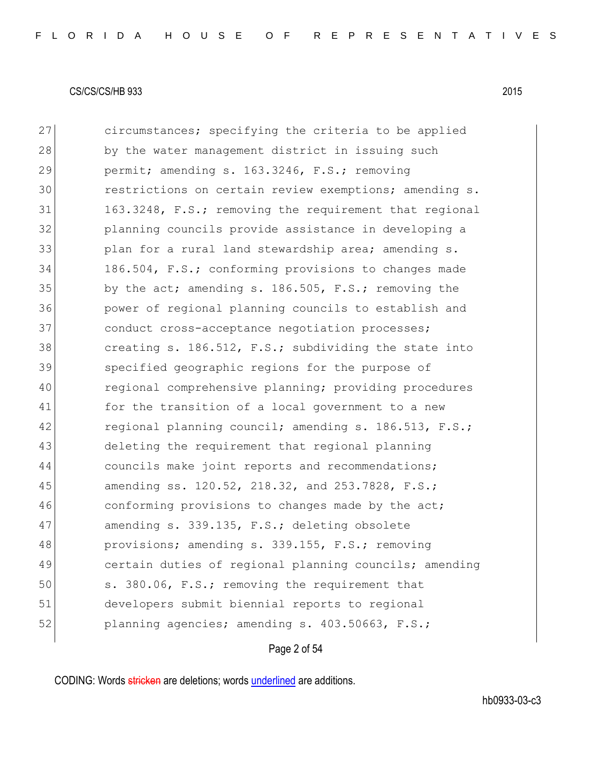| 27 | circumstances; specifying the criteria to be applied   |
|----|--------------------------------------------------------|
| 28 | by the water management district in issuing such       |
| 29 | permit; amending s. 163.3246, F.S.; removing           |
| 30 | restrictions on certain review exemptions; amending s. |
| 31 | 163.3248, F.S.; removing the requirement that regional |
| 32 | planning councils provide assistance in developing a   |
| 33 | plan for a rural land stewardship area; amending s.    |
| 34 | 186.504, F.S.; conforming provisions to changes made   |
| 35 | by the act; amending s. 186.505, F.S.; removing the    |
| 36 | power of regional planning councils to establish and   |
| 37 | conduct cross-acceptance negotiation processes;        |
| 38 | creating s. 186.512, F.S.; subdividing the state into  |
| 39 | specified geographic regions for the purpose of        |
| 40 | regional comprehensive planning; providing procedures  |
| 41 | for the transition of a local government to a new      |
| 42 | regional planning council; amending s. 186.513, F.S.;  |
| 43 | deleting the requirement that regional planning        |
| 44 | councils make joint reports and recommendations;       |
| 45 | amending ss. 120.52, 218.32, and 253.7828, F.S.;       |
| 46 | conforming provisions to changes made by the act;      |
| 47 | amending s. 339.135, F.S.; deleting obsolete           |
| 48 | provisions; amending s. 339.155, F.S.; removing        |
| 49 | certain duties of regional planning councils; amending |
| 50 | s. 380.06, F.S.; removing the requirement that         |
| 51 | developers submit biennial reports to regional         |
| 52 | planning agencies; amending s. 403.50663, F.S.;        |

# Page 2 of 54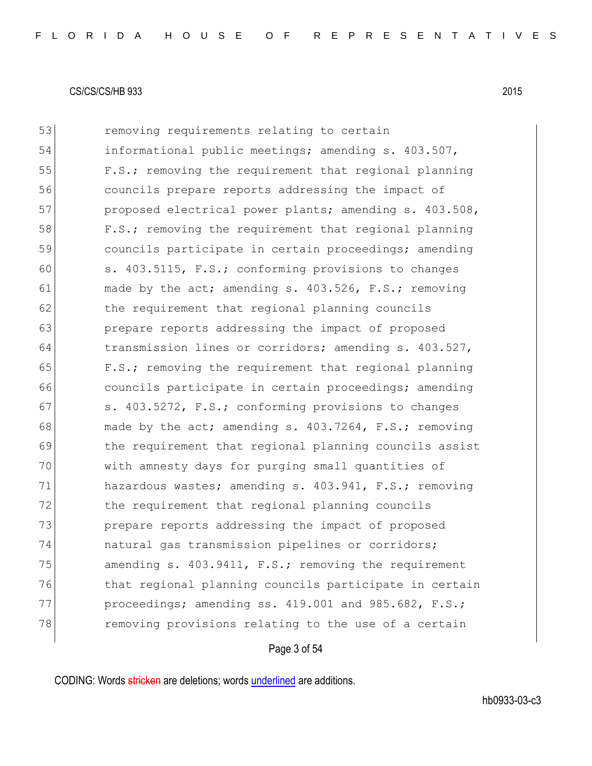53 removing requirements relating to certain 54 informational public meetings; amending s. 403.507, 55 F.S.; removing the requirement that regional planning 56 councils prepare reports addressing the impact of 57 proposed electrical power plants; amending s. 403.508, 58 F.S.; removing the requirement that regional planning 59 councils participate in certain proceedings; amending 60 s. 403.5115, F.S.; conforming provisions to changes 61 made by the act; amending s.  $403.526$ , F.S.; removing 62 the requirement that regional planning councils 63 **prepare reports addressing the impact of proposed** 64 transmission lines or corridors; amending s. 403.527, 65 F.S.; removing the requirement that regional planning 66 **councils participate in certain proceedings;** amending 67 s. 403.5272, F.S.; conforming provisions to changes 68 made by the act; amending s. 403.7264, F.S.; removing 69 the requirement that regional planning councils assist 70 with amnesty days for purging small quantities of 71 hazardous wastes; amending s. 403.941, F.S.; removing 72 the requirement that regional planning councils 73 prepare reports addressing the impact of proposed 74 natural gas transmission pipelines or corridors; 75 amending s. 403.9411, F.S.; removing the requirement 76 that regional planning councils participate in certain 77 proceedings; amending ss. 419.001 and 985.682, F.S.; 78 removing provisions relating to the use of a certain

### Page 3 of 54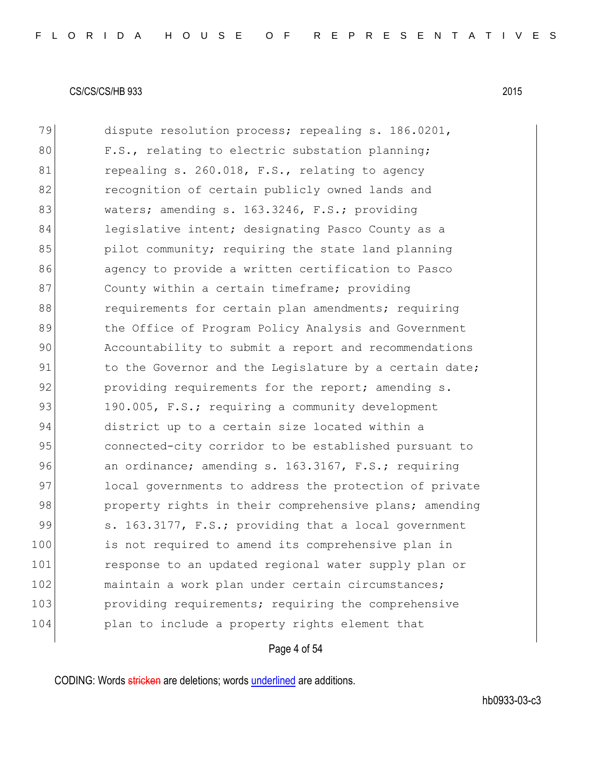| 79  | dispute resolution process; repealing s. 186.0201,     |
|-----|--------------------------------------------------------|
| 80  | F.S., relating to electric substation planning;        |
| 81  | repealing s. 260.018, F.S., relating to agency         |
| 82  | recognition of certain publicly owned lands and        |
| 83  | waters; amending s. 163.3246, F.S.; providing          |
| 84  | legislative intent; designating Pasco County as a      |
| 85  | pilot community; requiring the state land planning     |
| 86  | agency to provide a written certification to Pasco     |
| 87  | County within a certain timeframe; providing           |
| 88  | requirements for certain plan amendments; requiring    |
| 89  | the Office of Program Policy Analysis and Government   |
| 90  | Accountability to submit a report and recommendations  |
| 91  | to the Governor and the Legislature by a certain date; |
| 92  | providing requirements for the report; amending s.     |
| 93  | 190.005, F.S.; requiring a community development       |
| 94  | district up to a certain size located within a         |
| 95  | connected-city corridor to be established pursuant to  |
| 96  | an ordinance; amending s. 163.3167, F.S.; requiring    |
| 97  | local governments to address the protection of private |
| 98  | property rights in their comprehensive plans; amending |
| 99  | s. 163.3177, F.S.; providing that a local government   |
| 100 | is not required to amend its comprehensive plan in     |
| 101 | response to an updated regional water supply plan or   |
| 102 | maintain a work plan under certain circumstances;      |
| 103 | providing requirements; requiring the comprehensive    |
| 104 | plan to include a property rights element that         |
|     |                                                        |

# Page 4 of 54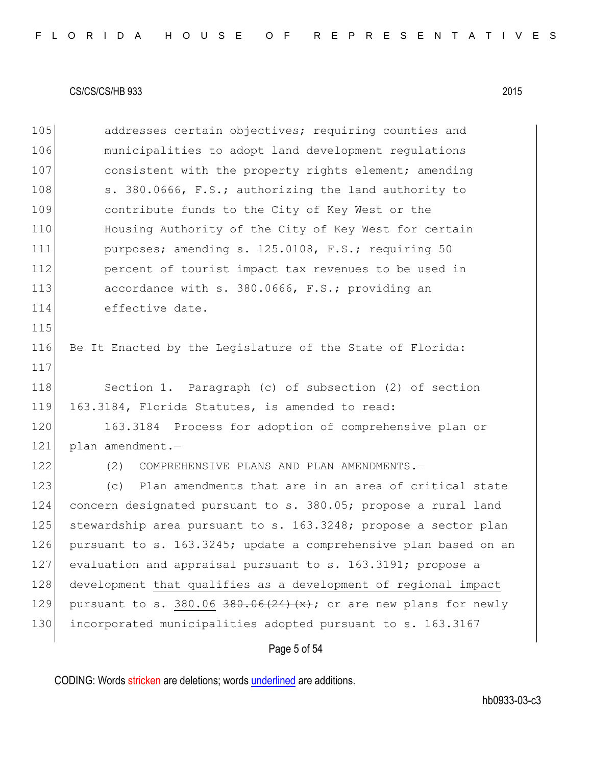|  |  |  |  |  |  | FLORIDA HOUSE OF REPRESENTATIVES |  |  |  |  |  |  |  |  |  |  |
|--|--|--|--|--|--|----------------------------------|--|--|--|--|--|--|--|--|--|--|
|  |  |  |  |  |  |                                  |  |  |  |  |  |  |  |  |  |  |

| 105 | addresses certain objectives; requiring counties and                            |
|-----|---------------------------------------------------------------------------------|
| 106 | municipalities to adopt land development regulations                            |
| 107 | consistent with the property rights element; amending                           |
| 108 | s. 380.0666, F.S.; authorizing the land authority to                            |
| 109 | contribute funds to the City of Key West or the                                 |
| 110 | Housing Authority of the City of Key West for certain                           |
| 111 | purposes; amending s. 125.0108, F.S.; requiring 50                              |
| 112 | percent of tourist impact tax revenues to be used in                            |
| 113 | accordance with s. 380.0666, F.S.; providing an                                 |
| 114 | effective date.                                                                 |
| 115 |                                                                                 |
| 116 | Be It Enacted by the Legislature of the State of Florida:                       |
| 117 |                                                                                 |
| 118 | Section 1. Paragraph (c) of subsection (2) of section                           |
| 119 | 163.3184, Florida Statutes, is amended to read:                                 |
| 120 | 163.3184 Process for adoption of comprehensive plan or                          |
| 121 | plan amendment.-                                                                |
| 122 | COMPREHENSIVE PLANS AND PLAN AMENDMENTS.-<br>(2)                                |
| 123 | Plan amendments that are in an area of critical state<br>(C)                    |
| 124 | concern designated pursuant to s. 380.05; propose a rural land                  |
| 125 | stewardship area pursuant to s. 163.3248; propose a sector plan                 |
| 126 | pursuant to s. 163.3245; update a comprehensive plan based on an                |
| 127 | evaluation and appraisal pursuant to s. 163.3191; propose a                     |
| 128 | development that qualifies as a development of regional impact                  |
| 129 | pursuant to s. 380.06 $\frac{380.06 \times 24}{x}$ ; or are new plans for newly |
| 130 | incorporated municipalities adopted pursuant to s. 163.3167                     |
|     | Page 5 of 54                                                                    |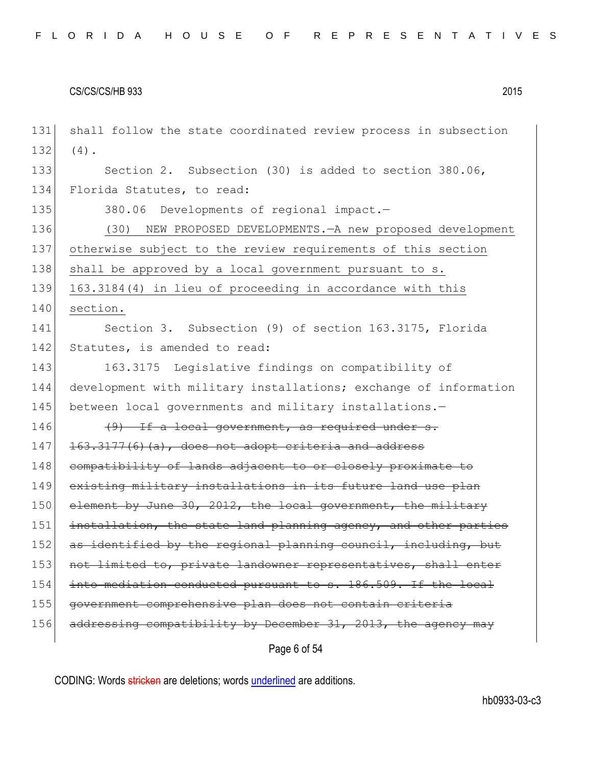| 131 | shall follow the state coordinated review process in subsection  |
|-----|------------------------------------------------------------------|
| 132 | $(4)$ .                                                          |
| 133 | Section 2. Subsection (30) is added to section 380.06,           |
| 134 | Florida Statutes, to read:                                       |
| 135 | 380.06 Developments of regional impact.-                         |
| 136 | NEW PROPOSED DEVELOPMENTS. - A new proposed development<br>(30)  |
| 137 | otherwise subject to the review requirements of this section     |
| 138 | shall be approved by a local government pursuant to s.           |
| 139 | 163.3184(4) in lieu of proceeding in accordance with this        |
| 140 | section.                                                         |
| 141 | Section 3. Subsection (9) of section 163.3175, Florida           |
| 142 | Statutes, is amended to read:                                    |
| 143 | 163.3175 Legislative findings on compatibility of                |
| 144 | development with military installations; exchange of information |
| 145 | between local governments and military installations.-           |
| 146 | $(9)$ If a local government, as required under s.                |
| 147 | 163.3177(6)(a), does not adopt criteria and address              |
| 148 | compatibility of lands adjacent to or closely proximate to       |
| 149 | existing military installations in its future land use plan      |
| 150 | element by June 30, 2012, the local government, the military     |
| 151 | installation, the state land planning agency, and other parties  |
| 152 | as identified by the regional planning council, including, but   |
| 153 | not limited to, private landowner representatives, shall enter   |
| 154 | into mediation conducted pursuant to s. 186.509. If the local    |
| 155 | government comprehensive plan does not contain criteria          |
| 156 | addressing compatibility by December 31, 2013, the agency may    |
|     | Page 6 of 54                                                     |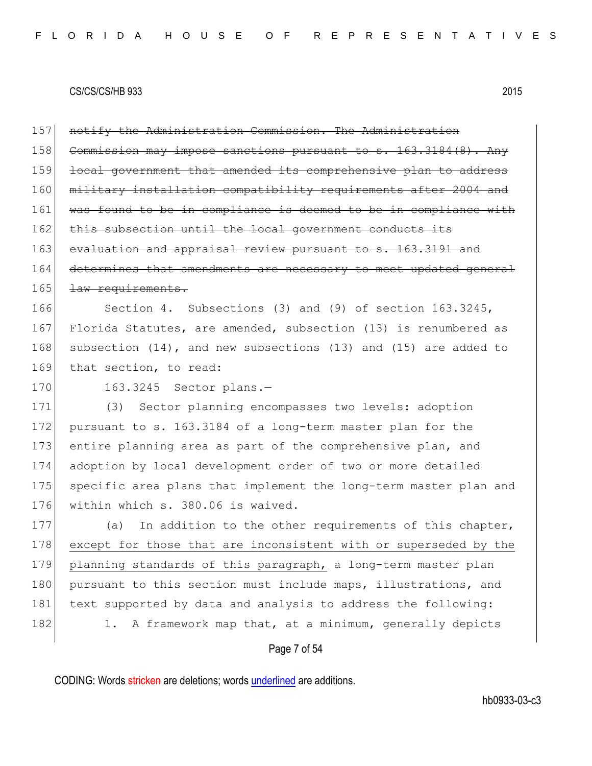157 notify the Administration Commission. The Administration 158 Commission may impose sanctions pursuant to s. 163.3184(8). Any 159 local government that amended its comprehensive plan to address 160 military installation compatibility requirements after 2004 and 161 was found to be in compliance is deemed to be in compliance with 162 this subsection until the local government conducts its 163 evaluation and appraisal review pursuant to s. 163.3191 and 164 determines that amendments are necessary to meet updated general 165 <del>Law requirements.</del> 166 Section 4. Subsections (3) and (9) of section 163.3245, 167 Florida Statutes, are amended, subsection (13) is renumbered as 168 subsection (14), and new subsections (13) and (15) are added to

169 that section, to read:

170 163.3245 Sector plans.-

171 (3) Sector planning encompasses two levels: adoption 172 pursuant to s. 163.3184 of a long-term master plan for the 173 entire planning area as part of the comprehensive plan, and 174 adoption by local development order of two or more detailed 175 specific area plans that implement the long-term master plan and 176 | within which s. 380.06 is waived.

177 (a) In addition to the other requirements of this chapter, 178 except for those that are inconsistent with or superseded by the 179 planning standards of this paragraph, a long-term master plan 180 pursuant to this section must include maps, illustrations, and 181 text supported by data and analysis to address the following: 182 1. A framework map that, at a minimum, generally depicts

### Page 7 of 54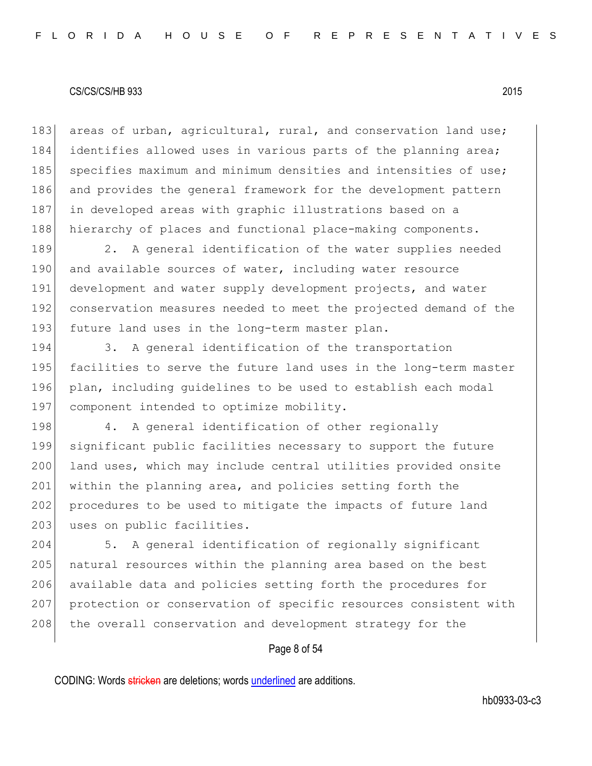183 areas of urban, agricultural, rural, and conservation land use; 184 identifies allowed uses in various parts of the planning area; 185 specifies maximum and minimum densities and intensities of use; 186 and provides the general framework for the development pattern 187 in developed areas with graphic illustrations based on a 188 hierarchy of places and functional place-making components.

189 2. A general identification of the water supplies needed 190 and available sources of water, including water resource 191 development and water supply development projects, and water 192 conservation measures needed to meet the projected demand of the 193 future land uses in the long-term master plan.

194 3. A general identification of the transportation 195 facilities to serve the future land uses in the long-term master 196 plan, including guidelines to be used to establish each modal 197 component intended to optimize mobility.

198 4. A general identification of other regionally 199 significant public facilities necessary to support the future 200 land uses, which may include central utilities provided onsite 201 within the planning area, and policies setting forth the 202 procedures to be used to mitigate the impacts of future land 203 uses on public facilities.

204 5. A general identification of regionally significant 205 natural resources within the planning area based on the best 206 available data and policies setting forth the procedures for 207 protection or conservation of specific resources consistent with 208 the overall conservation and development strategy for the

### Page 8 of 54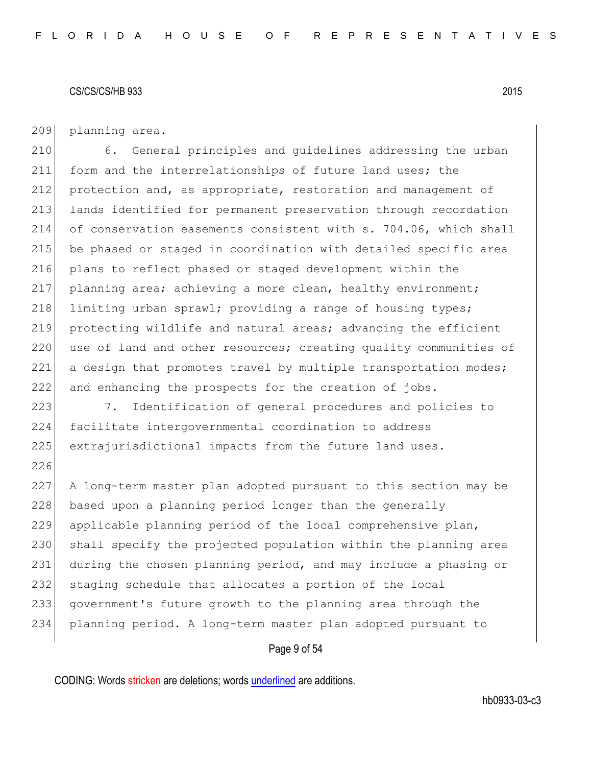209 planning area.

226

 6. General principles and guidelines addressing the urban 211 form and the interrelationships of future land uses; the protection and, as appropriate, restoration and management of lands identified for permanent preservation through recordation of conservation easements consistent with s. 704.06, which shall be phased or staged in coordination with detailed specific area plans to reflect phased or staged development within the planning area; achieving a more clean, healthy environment; 218 limiting urban sprawl; providing a range of housing types; protecting wildlife and natural areas; advancing the efficient 220 use of land and other resources; creating quality communities of 221 a design that promotes travel by multiple transportation modes; and enhancing the prospects for the creation of jobs.

223 7. Identification of general procedures and policies to 224 facilitate intergovernmental coordination to address 225 extrajurisdictional impacts from the future land uses.

 A long-term master plan adopted pursuant to this section may be 228 based upon a planning period longer than the generally applicable planning period of the local comprehensive plan, 230 shall specify the projected population within the planning area during the chosen planning period, and may include a phasing or 232 staging schedule that allocates a portion of the local government's future growth to the planning area through the planning period. A long-term master plan adopted pursuant to

### Page 9 of 54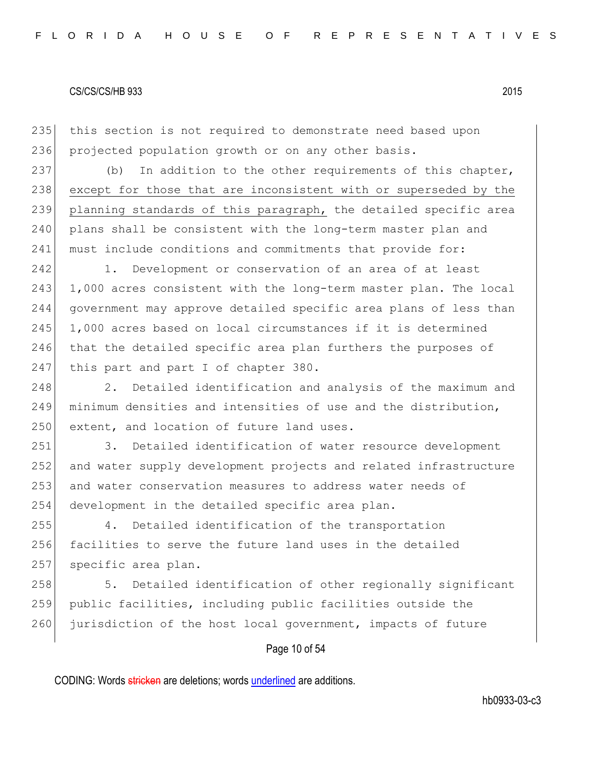235 this section is not required to demonstrate need based upon 236 projected population growth or on any other basis.

237 (b) In addition to the other requirements of this chapter, 238 except for those that are inconsistent with or superseded by the 239 planning standards of this paragraph, the detailed specific area 240 plans shall be consistent with the long-term master plan and 241 must include conditions and commitments that provide for:

242 1. Development or conservation of an area of at least 243 1,000 acres consistent with the long-term master plan. The local 244 government may approve detailed specific area plans of less than 245 1,000 acres based on local circumstances if it is determined 246 that the detailed specific area plan furthers the purposes of 247 this part and part I of chapter 380.

248 2. Detailed identification and analysis of the maximum and 249 minimum densities and intensities of use and the distribution, 250 extent, and location of future land uses.

251 3. Detailed identification of water resource development 252 and water supply development projects and related infrastructure 253 and water conservation measures to address water needs of 254 development in the detailed specific area plan.

255 4. Detailed identification of the transportation 256 facilities to serve the future land uses in the detailed 257 specific area plan.

258 5. Detailed identification of other regionally significant 259 public facilities, including public facilities outside the 260 jurisdiction of the host local government, impacts of future

## Page 10 of 54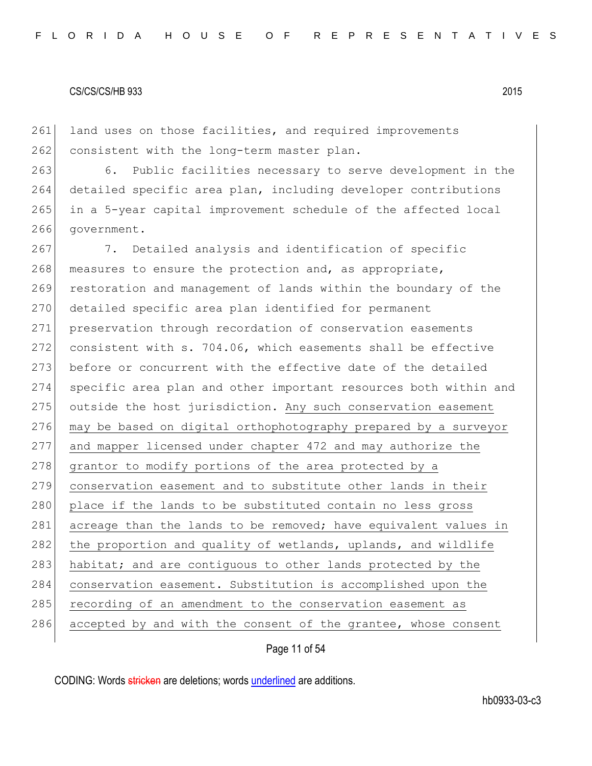261 land uses on those facilities, and required improvements 262 consistent with the long-term master plan.

263 6. Public facilities necessary to serve development in the 264 detailed specific area plan, including developer contributions 265 in a 5-year capital improvement schedule of the affected local 266 government.

267 7. Detailed analysis and identification of specific 268 measures to ensure the protection and, as appropriate, 269 restoration and management of lands within the boundary of the 270 detailed specific area plan identified for permanent 271 preservation through recordation of conservation easements 272 consistent with s. 704.06, which easements shall be effective 273 before or concurrent with the effective date of the detailed 274 specific area plan and other important resources both within and 275 outside the host jurisdiction. Any such conservation easement 276 may be based on digital orthophotography prepared by a surveyor 277 and mapper licensed under chapter 472 and may authorize the 278 grantor to modify portions of the area protected by a 279 conservation easement and to substitute other lands in their 280 place if the lands to be substituted contain no less gross 281 acreage than the lands to be removed; have equivalent values in 282 the proportion and quality of wetlands, uplands, and wildlife 283 habitat; and are contiguous to other lands protected by the 284 conservation easement. Substitution is accomplished upon the 285 recording of an amendment to the conservation easement as 286 accepted by and with the consent of the grantee, whose consent

Page 11 of 54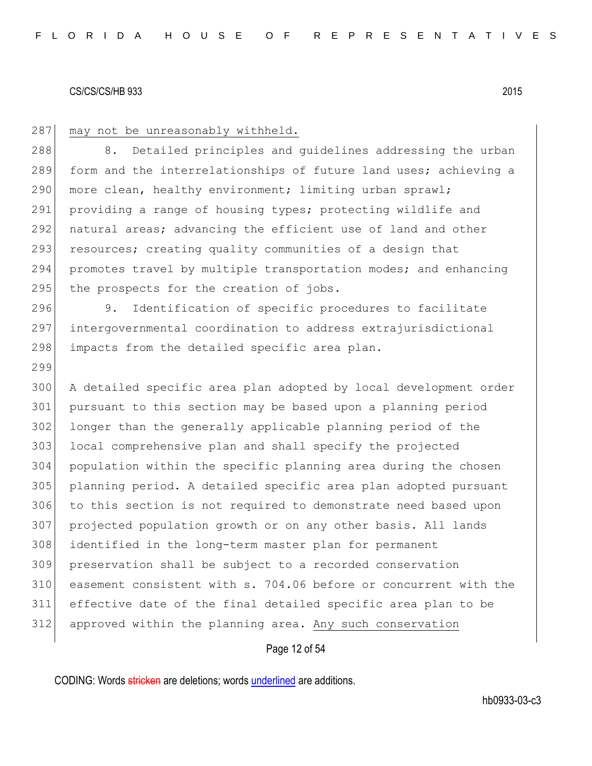299

### 287 may not be unreasonably withheld.

288 8. Detailed principles and quidelines addressing the urban 289 form and the interrelationships of future land uses; achieving a 290 more clean, healthy environment; limiting urban sprawl; 291 providing a range of housing types; protecting wildlife and 292 natural areas; advancing the efficient use of land and other 293 resources; creating quality communities of a design that 294 promotes travel by multiple transportation modes; and enhancing 295 the prospects for the creation of jobs.

296 9. Identification of specific procedures to facilitate 297 intergovernmental coordination to address extrajurisdictional 298 impacts from the detailed specific area plan.

 A detailed specific area plan adopted by local development order pursuant to this section may be based upon a planning period longer than the generally applicable planning period of the local comprehensive plan and shall specify the projected population within the specific planning area during the chosen planning period. A detailed specific area plan adopted pursuant to this section is not required to demonstrate need based upon projected population growth or on any other basis. All lands identified in the long-term master plan for permanent preservation shall be subject to a recorded conservation easement consistent with s. 704.06 before or concurrent with the effective date of the final detailed specific area plan to be approved within the planning area. Any such conservation

## Page 12 of 54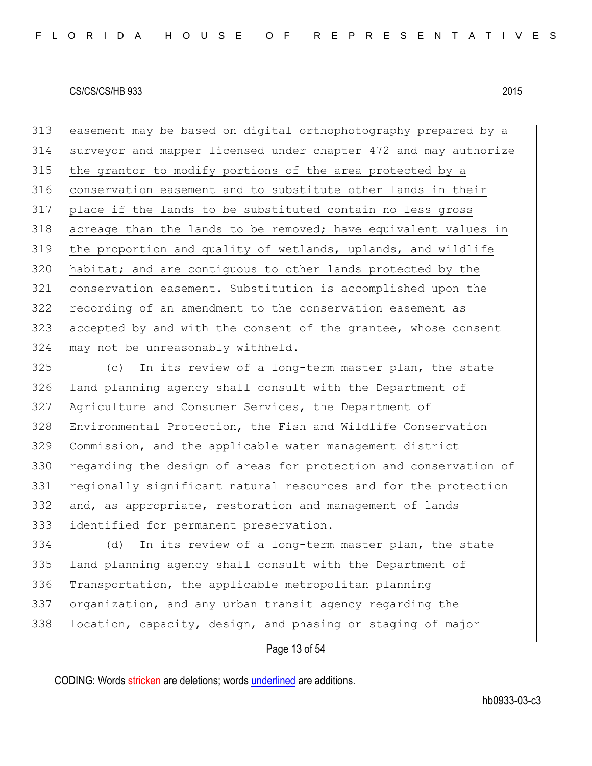easement may be based on digital orthophotography prepared by a surveyor and mapper licensed under chapter 472 and may authorize 315 the grantor to modify portions of the area protected by a conservation easement and to substitute other lands in their place if the lands to be substituted contain no less gross acreage than the lands to be removed; have equivalent values in the proportion and quality of wetlands, uplands, and wildlife 320 habitat; and are contiguous to other lands protected by the conservation easement. Substitution is accomplished upon the recording of an amendment to the conservation easement as 323 accepted by and with the consent of the grantee, whose consent may not be unreasonably withheld.

 (c) In its review of a long-term master plan, the state land planning agency shall consult with the Department of Agriculture and Consumer Services, the Department of Environmental Protection, the Fish and Wildlife Conservation Commission, and the applicable water management district 330 regarding the design of areas for protection and conservation of regionally significant natural resources and for the protection and, as appropriate, restoration and management of lands identified for permanent preservation.

 (d) In its review of a long-term master plan, the state land planning agency shall consult with the Department of Transportation, the applicable metropolitan planning organization, and any urban transit agency regarding the 338 location, capacity, design, and phasing or staging of major

## Page 13 of 54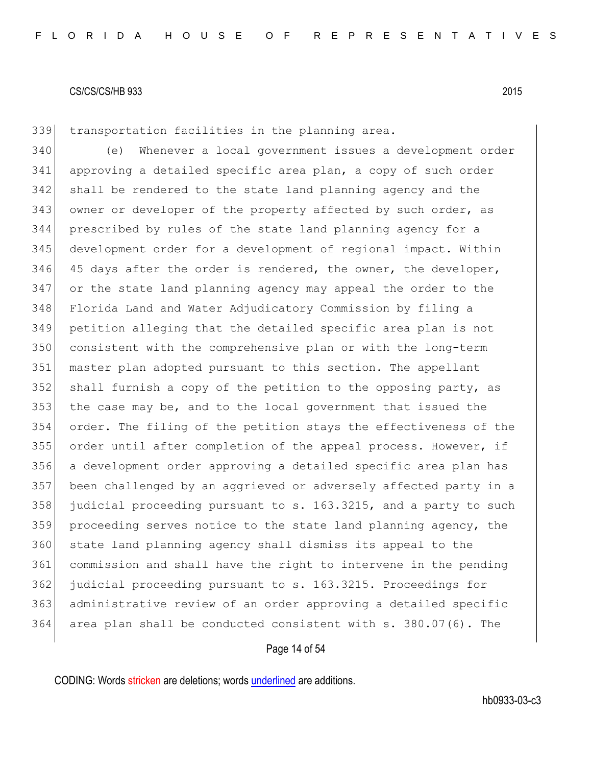transportation facilities in the planning area.

 (e) Whenever a local government issues a development order approving a detailed specific area plan, a copy of such order shall be rendered to the state land planning agency and the 343 owner or developer of the property affected by such order, as prescribed by rules of the state land planning agency for a development order for a development of regional impact. Within 45 days after the order is rendered, the owner, the developer, or the state land planning agency may appeal the order to the Florida Land and Water Adjudicatory Commission by filing a petition alleging that the detailed specific area plan is not consistent with the comprehensive plan or with the long-term master plan adopted pursuant to this section. The appellant 352 shall furnish a copy of the petition to the opposing party, as the case may be, and to the local government that issued the order. The filing of the petition stays the effectiveness of the order until after completion of the appeal process. However, if a development order approving a detailed specific area plan has been challenged by an aggrieved or adversely affected party in a judicial proceeding pursuant to s. 163.3215, and a party to such proceeding serves notice to the state land planning agency, the state land planning agency shall dismiss its appeal to the commission and shall have the right to intervene in the pending judicial proceeding pursuant to s. 163.3215. Proceedings for administrative review of an order approving a detailed specific area plan shall be conducted consistent with s. 380.07(6). The

## Page 14 of 54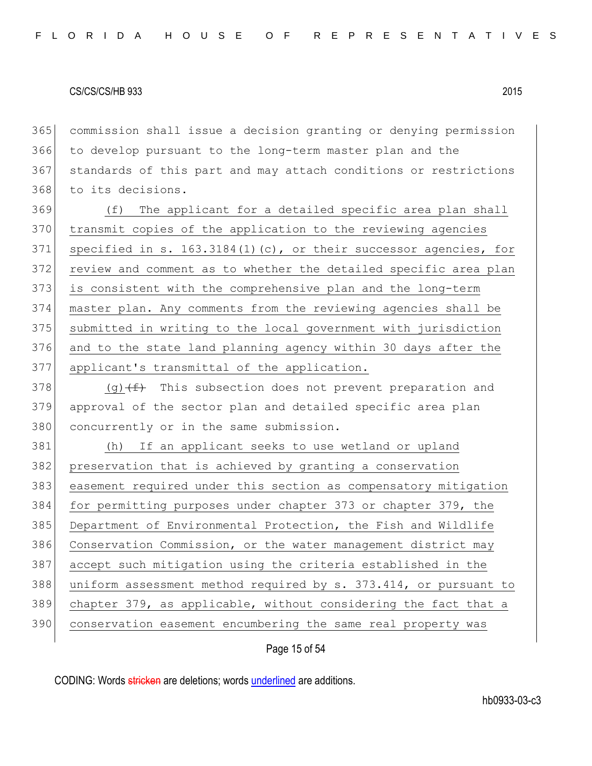commission shall issue a decision granting or denying permission to develop pursuant to the long-term master plan and the standards of this part and may attach conditions or restrictions to its decisions.

 (f) The applicant for a detailed specific area plan shall transmit copies of the application to the reviewing agencies 371 specified in s. 163.3184(1)(c), or their successor agencies, for review and comment as to whether the detailed specific area plan is consistent with the comprehensive plan and the long-term master plan. Any comments from the reviewing agencies shall be submitted in writing to the local government with jurisdiction and to the state land planning agency within 30 days after the applicant's transmittal of the application.

378  $(g)$   $(f)$  This subsection does not prevent preparation and approval of the sector plan and detailed specific area plan 380 concurrently or in the same submission.

 (h) If an applicant seeks to use wetland or upland preservation that is achieved by granting a conservation easement required under this section as compensatory mitigation 384 for permitting purposes under chapter 373 or chapter 379, the Department of Environmental Protection, the Fish and Wildlife Conservation Commission, or the water management district may accept such mitigation using the criteria established in the 388 uniform assessment method required by s. 373.414, or pursuant to chapter 379, as applicable, without considering the fact that a 390 conservation easement encumbering the same real property was

Page 15 of 54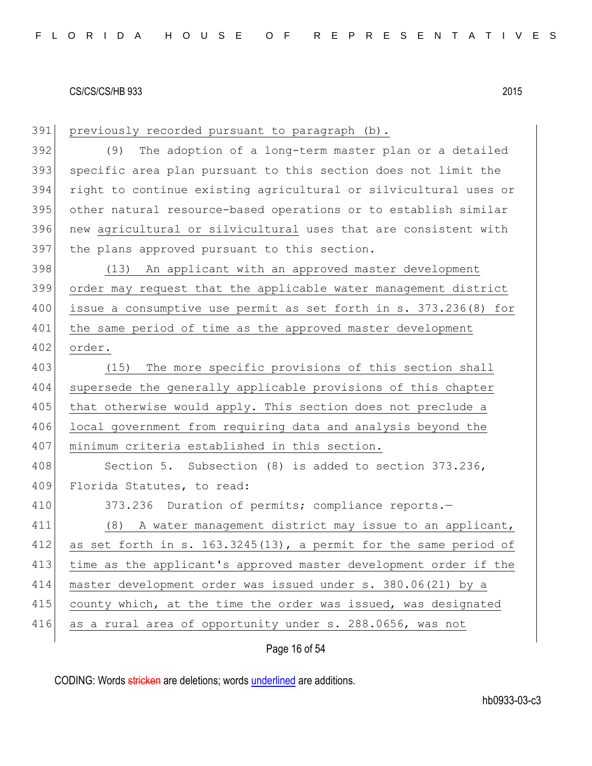| 391 | previously recorded pursuant to paragraph (b).                   |
|-----|------------------------------------------------------------------|
| 392 | The adoption of a long-term master plan or a detailed<br>(9)     |
| 393 | specific area plan pursuant to this section does not limit the   |
| 394 | right to continue existing agricultural or silvicultural uses or |
| 395 | other natural resource-based operations or to establish similar  |
| 396 | new agricultural or silvicultural uses that are consistent with  |
| 397 | the plans approved pursuant to this section.                     |
| 398 | (13) An applicant with an approved master development            |
| 399 | order may request that the applicable water management district  |
| 400 | issue a consumptive use permit as set forth in s. 373.236(8) for |
| 401 | the same period of time as the approved master development       |
| 402 | order.                                                           |
| 403 | The more specific provisions of this section shall<br>(15)       |
| 404 | supersede the generally applicable provisions of this chapter    |
| 405 | that otherwise would apply. This section does not preclude a     |
| 406 | local government from requiring data and analysis beyond the     |
| 407 | minimum criteria established in this section.                    |
| 408 | Section 5. Subsection (8) is added to section 373.236,           |
| 409 | Florida Statutes, to read:                                       |
| 410 | 373.236 Duration of permits; compliance reports.-                |
| 411 | A water management district may issue to an applicant,<br>(8)    |
| 412 | as set forth in s. 163.3245(13), a permit for the same period of |
| 413 | time as the applicant's approved master development order if the |
| 414 | master development order was issued under s. 380.06(21) by a     |
| 415 | county which, at the time the order was issued, was designated   |
| 416 | as a rural area of opportunity under s. 288.0656, was not        |
|     |                                                                  |

Page 16 of 54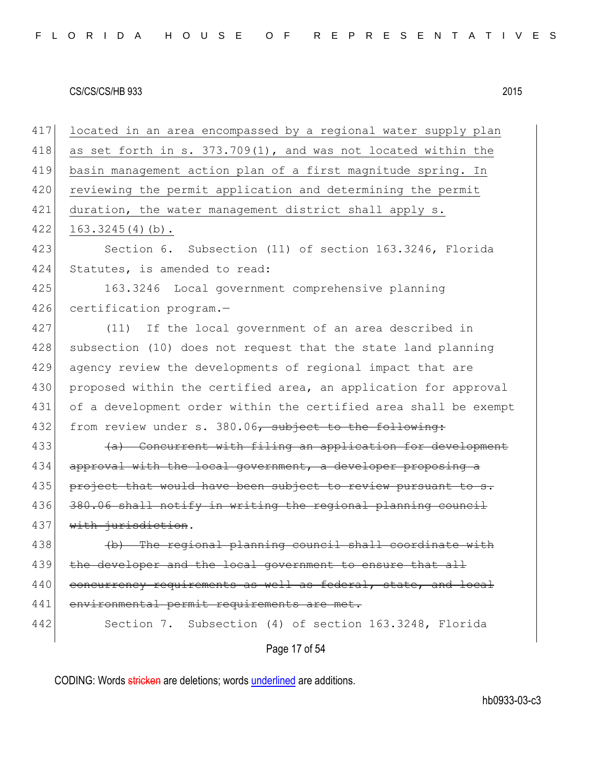Page 17 of 54 417 located in an area encompassed by a regional water supply plan 418 as set forth in s.  $373.709(1)$ , and was not located within the 419 basin management action plan of a first magnitude spring. In 420 reviewing the permit application and determining the permit 421 duration, the water management district shall apply s.  $422$  163.3245(4)(b). 423 Section 6. Subsection (11) of section 163.3246, Florida 424 Statutes, is amended to read: 425 163.3246 Local government comprehensive planning 426 certification program.-427 (11) If the local government of an area described in 428 subsection (10) does not request that the state land planning 429 agency review the developments of regional impact that are 430 proposed within the certified area, an application for approval 431 of a development order within the certified area shall be exempt 432 from review under s. 380.06, subject to the following: 433 (a) Concurrent with filing an application for development 434 approval with the local government, a developer proposing a 435 project that would have been subject to review pursuant to s. 436 380.06 shall notify in writing the regional planning council 437 with jurisdiction. 438 (b) The regional planning council shall coordinate with 439 the developer and the local government to ensure that all 440 concurrency requirements as well as federal, state, and local 441 environmental permit requirements are met. 442 Section 7. Subsection (4) of section 163.3248, Florida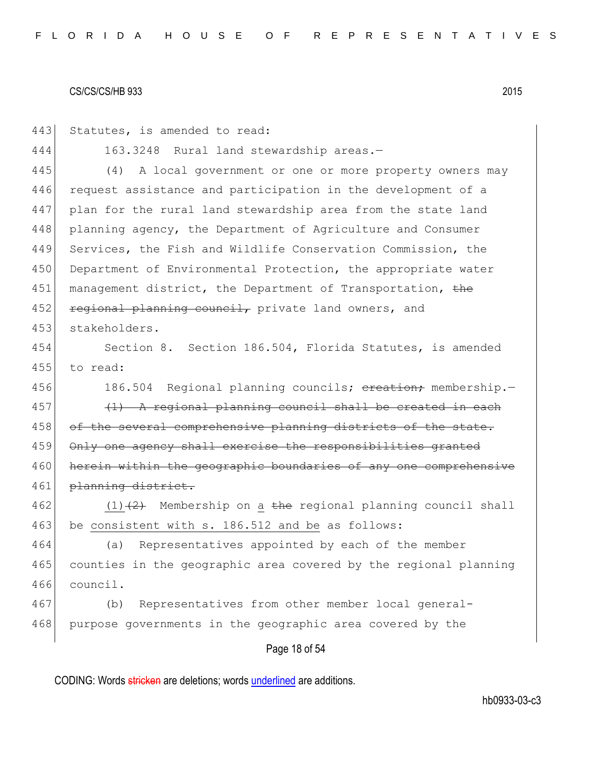| 443 | Statutes, is amended to read:                                    |
|-----|------------------------------------------------------------------|
| 444 | 163.3248 Rural land stewardship areas.-                          |
| 445 | A local government or one or more property owners may<br>(4)     |
| 446 | request assistance and participation in the development of a     |
| 447 | plan for the rural land stewardship area from the state land     |
| 448 | planning agency, the Department of Agriculture and Consumer      |
| 449 | Services, the Fish and Wildlife Conservation Commission, the     |
| 450 | Department of Environmental Protection, the appropriate water    |
| 451 | management district, the Department of Transportation, the       |
| 452 | regional planning council, private land owners, and              |
| 453 | stakeholders.                                                    |
| 454 | Section 8. Section 186.504, Florida Statutes, is amended         |
| 455 | to read:                                                         |
| 456 | 186.504 Regional planning councils; ereation; membership.-       |
| 457 | (1) A regional planning council shall be created in each         |
| 458 | of the several comprehensive planning districts of the state.    |
| 459 | Only one agency shall exercise the responsibilities granted      |
| 460 | herein within the geographic boundaries of any one comprehensive |
| 461 | planning district.                                               |
| 462 | $(1)$ +2+ Membership on a the regional planning council shall    |
| 463 | be consistent with s. 186.512 and be as follows:                 |
| 464 | (a) Representatives appointed by each of the member              |
| 465 | counties in the geographic area covered by the regional planning |
| 466 | council.                                                         |
| 467 | Representatives from other member local general-<br>(b)          |
| 468 | purpose governments in the geographic area covered by the        |
|     | Page 18 of 54                                                    |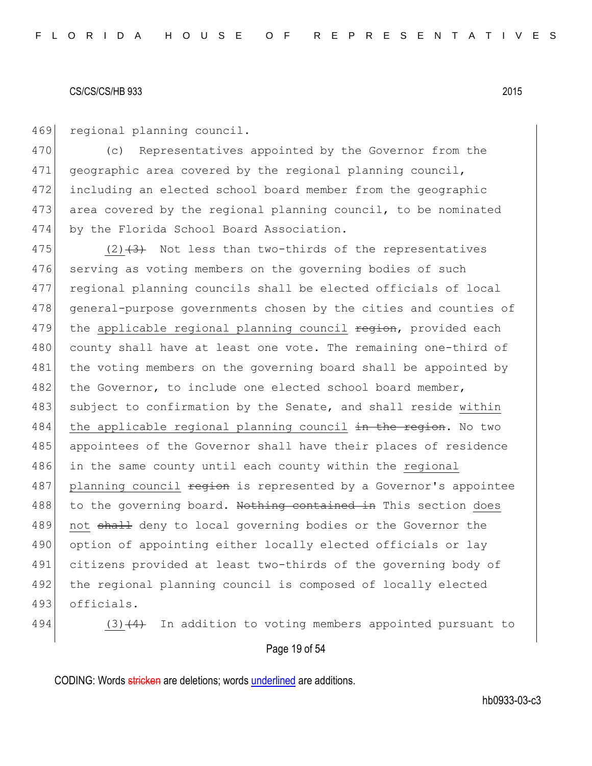469 regional planning council.

470 (c) Representatives appointed by the Governor from the 471 geographic area covered by the regional planning council, 472 including an elected school board member from the geographic 473 area covered by the regional planning council, to be nominated 474 by the Florida School Board Association.

475  $(2)$   $(3)$  Not less than two-thirds of the representatives 476 serving as voting members on the governing bodies of such 477 regional planning councils shall be elected officials of local 478 general-purpose governments chosen by the cities and counties of 479 the applicable regional planning council region, provided each 480 county shall have at least one vote. The remaining one-third of 481 the voting members on the governing board shall be appointed by 482 the Governor, to include one elected school board member, 483 subject to confirmation by the Senate, and shall reside within 484 the applicable regional planning council in the region. No two 485 appointees of the Governor shall have their places of residence 486 in the same county until each county within the regional 487 planning council region is represented by a Governor's appointee 488 to the governing board. Nothing contained in This section does 489 not shall deny to local governing bodies or the Governor the 490 option of appointing either locally elected officials or lay 491 citizens provided at least two-thirds of the governing body of 492 the regional planning council is composed of locally elected 493 officials.

494 (3) $(4)$  In addition to voting members appointed pursuant to

### Page 19 of 54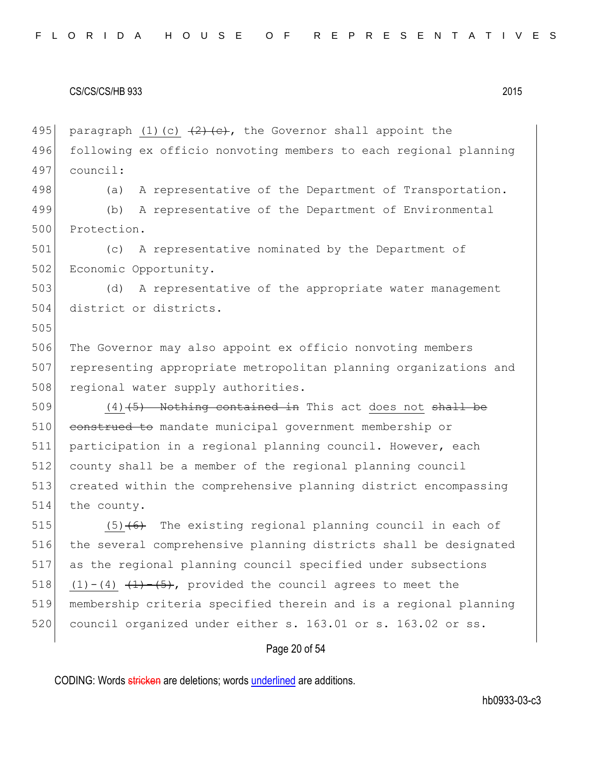495 paragraph (1)(c)  $(2)$  (e), the Governor shall appoint the 496 following ex officio nonvoting members to each regional planning 497 council: 498 (a) A representative of the Department of Transportation. 499 (b) A representative of the Department of Environmental 500 Protection. 501 (c) A representative nominated by the Department of 502 Economic Opportunity. 503 (d) A representative of the appropriate water management 504 district or districts. 505 506 The Governor may also appoint ex officio nonvoting members 507 representing appropriate metropolitan planning organizations and 508 regional water supply authorities.  $509$  (4)<del>(5) Nothing contained in</del> This act does not shall be 510 construed to mandate municipal government membership or 511 participation in a regional planning council. However, each 512 county shall be a member of the regional planning council 513 created within the comprehensive planning district encompassing 514 the county. 515  $(5)$  (6) The existing regional planning council in each of 516 the several comprehensive planning districts shall be designated 517 as the regional planning council specified under subsections 518 (1)-(4)  $(1)$ - $(5)$ , provided the council agrees to meet the 519 membership criteria specified therein and is a regional planning 520 council organized under either s. 163.01 or s. 163.02 or ss.

## Page 20 of 54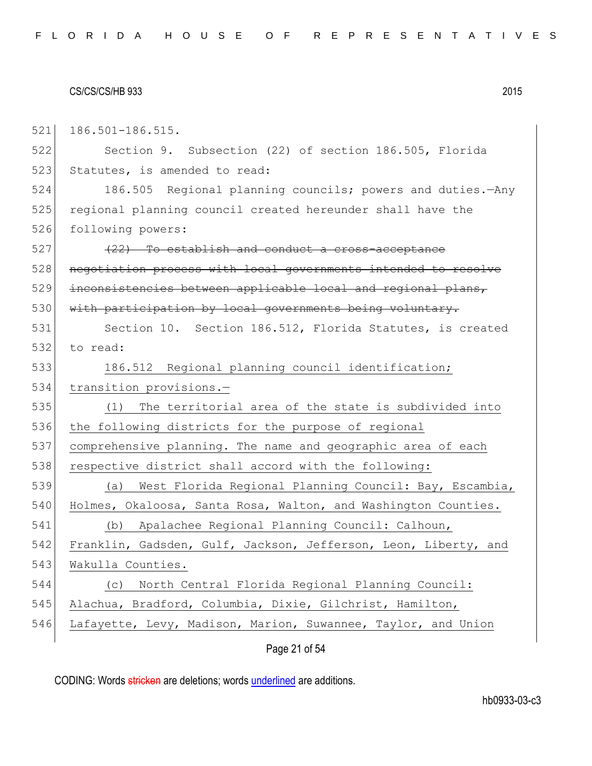521 186.501-186.515.

522 Section 9. Subsection (22) of section 186.505, Florida 523 Statutes, is amended to read:

524 186.505 Regional planning councils; powers and duties.—Any 525 regional planning council created hereunder shall have the 526 following powers:

527 (22) To establish and conduct a cross-acceptance 528 negotiation process with local governments intended to resolve 529 inconsistencies between applicable local and regional plans, 530 with participation by local governments being voluntary.

531 Section 10. Section 186.512, Florida Statutes, is created 532 to read:

533 186.512 Regional planning council identification; 534 transition provisions.-

535 (1) The territorial area of the state is subdivided into 536 the following districts for the purpose of regional 537 comprehensive planning. The name and geographic area of each 538 respective district shall accord with the following:

 (a) West Florida Regional Planning Council: Bay, Escambia, 540 Holmes, Okaloosa, Santa Rosa, Walton, and Washington Counties. (b) Apalachee Regional Planning Council: Calhoun, Franklin, Gadsden, Gulf, Jackson, Jefferson, Leon, Liberty, and 543 Wakulla Counties. (c) North Central Florida Regional Planning Council: Alachua, Bradford, Columbia, Dixie, Gilchrist, Hamilton,

546 Lafayette, Levy, Madison, Marion, Suwannee, Taylor, and Union

Page 21 of 54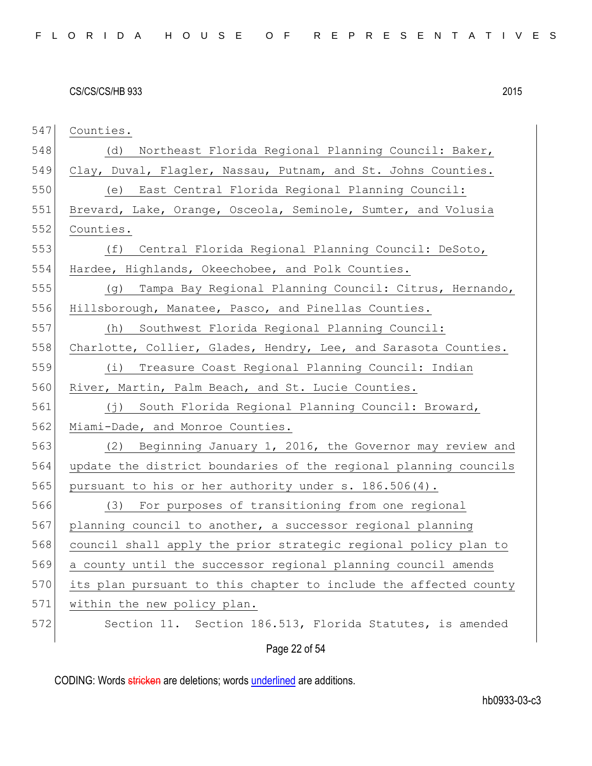Page 22 of 54 Counties. (d) Northeast Florida Regional Planning Council: Baker, 549 Clay, Duval, Flagler, Nassau, Putnam, and St. Johns Counties. (e) East Central Florida Regional Planning Council: 551 Brevard, Lake, Orange, Osceola, Seminole, Sumter, and Volusia Counties. (f) Central Florida Regional Planning Council: DeSoto, 554 Hardee, Highlands, Okeechobee, and Polk Counties. (g) Tampa Bay Regional Planning Council: Citrus, Hernando, Hillsborough, Manatee, Pasco, and Pinellas Counties. (h) Southwest Florida Regional Planning Council: 558 Charlotte, Collier, Glades, Hendry, Lee, and Sarasota Counties. (i) Treasure Coast Regional Planning Council: Indian 560 River, Martin, Palm Beach, and St. Lucie Counties. (j) South Florida Regional Planning Council: Broward, 562 Miami-Dade, and Monroe Counties. (2) Beginning January 1, 2016, the Governor may review and update the district boundaries of the regional planning councils pursuant to his or her authority under s. 186.506(4). (3) For purposes of transitioning from one regional 567 planning council to another, a successor regional planning council shall apply the prior strategic regional policy plan to a county until the successor regional planning council amends 570 its plan pursuant to this chapter to include the affected county 571 within the new policy plan. Section 11. Section 186.513, Florida Statutes, is amended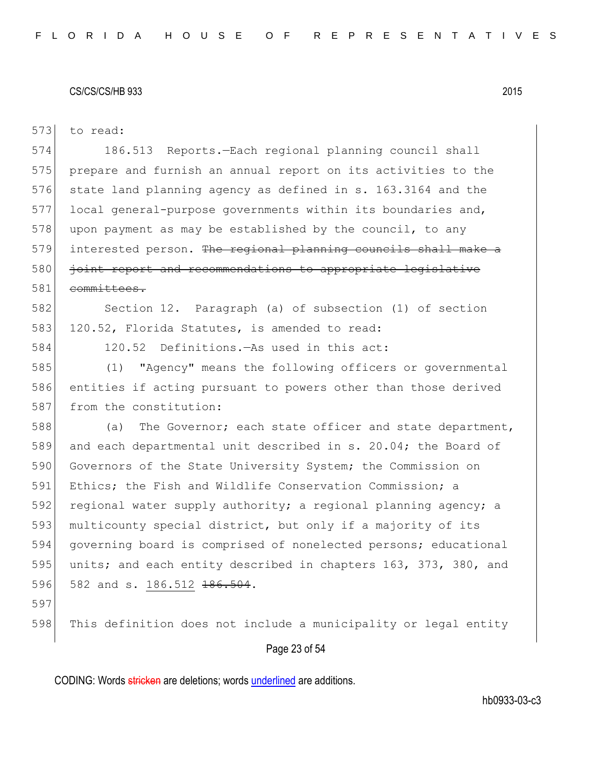|     | Page 23 of 54                                                   |
|-----|-----------------------------------------------------------------|
| 598 | This definition does not include a municipality or legal entity |
| 597 |                                                                 |
| 596 | 582 and s. 186.512 186.504.                                     |
| 595 | units; and each entity described in chapters 163, 373, 380, and |
| 594 | governing board is comprised of nonelected persons; educational |
| 593 | multicounty special district, but only if a majority of its     |
| 592 | regional water supply authority; a regional planning agency; a  |
| 591 | Ethics; the Fish and Wildlife Conservation Commission; a        |
| 590 | Governors of the State University System; the Commission on     |
| 589 | and each departmental unit described in s. 20.04; the Board of  |
| 588 | The Governor; each state officer and state department,<br>(a)   |
| 587 | from the constitution:                                          |
| 586 | entities if acting pursuant to powers other than those derived  |
| 585 | (1) "Agency" means the following officers or governmental       |
| 584 | 120.52 Definitions. - As used in this act:                      |
| 583 | 120.52, Florida Statutes, is amended to read:                   |
| 582 | Section 12. Paragraph (a) of subsection (1) of section          |
| 581 | committees.                                                     |
| 580 | joint report and recommendations to appropriate legislative     |
| 579 | interested person. The regional planning councils shall make a  |
| 578 | upon payment as may be established by the council, to any       |
| 577 | local general-purpose governments within its boundaries and,    |
| 576 | state land planning agency as defined in s. 163.3164 and the    |
| 575 | prepare and furnish an annual report on its activities to the   |
| 574 | 186.513 Reports.-Each regional planning council shall           |
| 573 | to read:                                                        |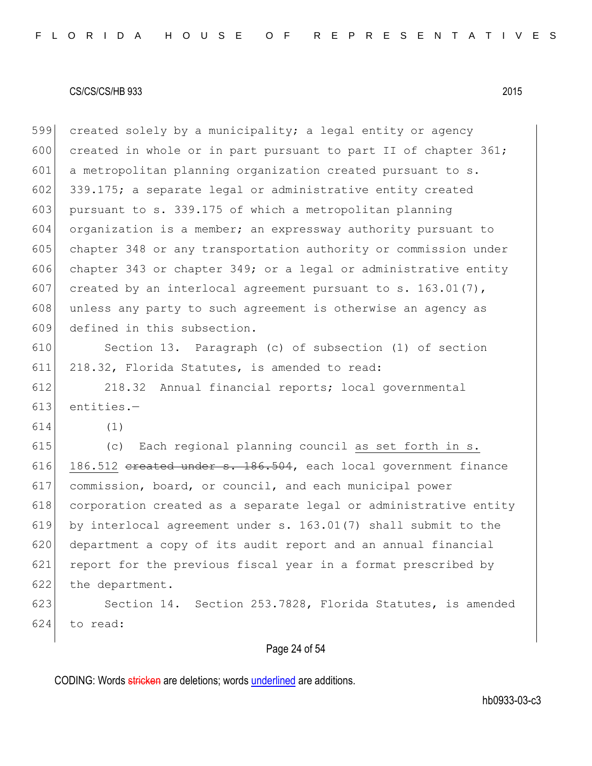599 created solely by a municipality; a legal entity or agency 600 created in whole or in part pursuant to part II of chapter  $361$ ; 601 a metropolitan planning organization created pursuant to s. 602 339.175; a separate legal or administrative entity created 603 pursuant to s. 339.175 of which a metropolitan planning 604 organization is a member; an expressway authority pursuant to 605 chapter 348 or any transportation authority or commission under 606 chapter 343 or chapter 349; or a legal or administrative entity 607 created by an interlocal agreement pursuant to s. 163.01(7), 608 unless any party to such agreement is otherwise an agency as 609 defined in this subsection.

610 Section 13. Paragraph (c) of subsection (1) of section 611 218.32, Florida Statutes, is amended to read:

612 218.32 Annual financial reports; local governmental 613 entities.—

614 (1)

 (c) Each regional planning council as set forth in s. 616 186.512  $e$ reated under s. 186.504, each local government finance commission, board, or council, and each municipal power corporation created as a separate legal or administrative entity by interlocal agreement under s. 163.01(7) shall submit to the department a copy of its audit report and an annual financial report for the previous fiscal year in a format prescribed by the department.

623 Section 14. Section 253.7828, Florida Statutes, is amended 624 to read:

## Page 24 of 54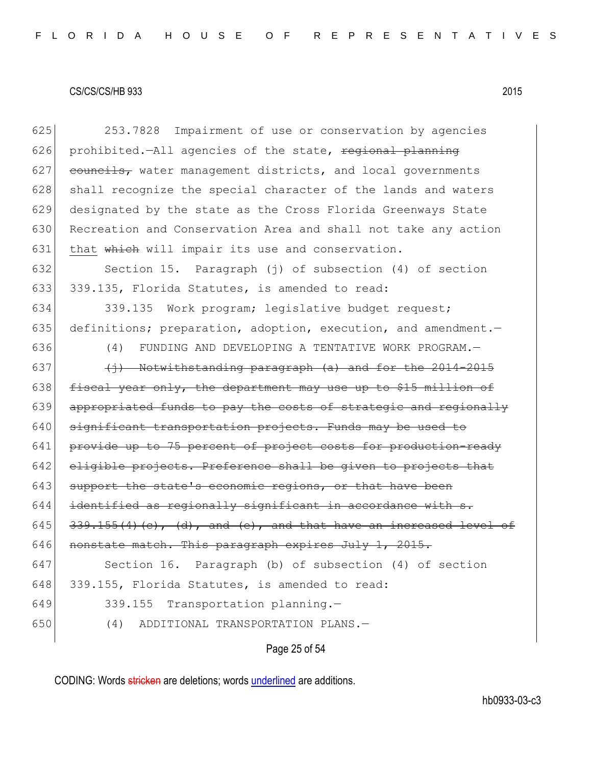| 643 | support the state's economic regions, or that have been         |
|-----|-----------------------------------------------------------------|
| 642 | eligible projects. Preference shall be given to projects that   |
| 641 | provide up to 75 percent of project costs for production-ready  |
| 640 | significant transportation projects. Funds may be used to       |
| 639 | appropriated funds to pay the costs of strategic and regionally |
|     |                                                                 |
| 638 | fiscal year only, the department may use up to \$15 million of  |
| 637 | (i) Notwithstanding paragraph (a) and for the 2014-2015         |
| 636 | (4)<br>FUNDING AND DEVELOPING A TENTATIVE WORK PROGRAM.-        |
| 635 | definitions; preparation, adoption, execution, and amendment.-  |
| 634 | Work program; legislative budget request;<br>339.135            |
| 633 | 339.135, Florida Statutes, is amended to read:                  |
| 632 | Section 15. Paragraph (j) of subsection (4) of section          |
| 631 | that which will impair its use and conservation.                |
| 630 | Recreation and Conservation Area and shall not take any action  |
| 629 | designated by the state as the Cross Florida Greenways State    |
| 628 | shall recognize the special character of the lands and waters   |
| 627 | councils, water management districts, and local governments     |
| 626 | prohibited.-All agencies of the state, regional planning        |
| 625 | 253.7828<br>Impairment of use or conservation by agencies       |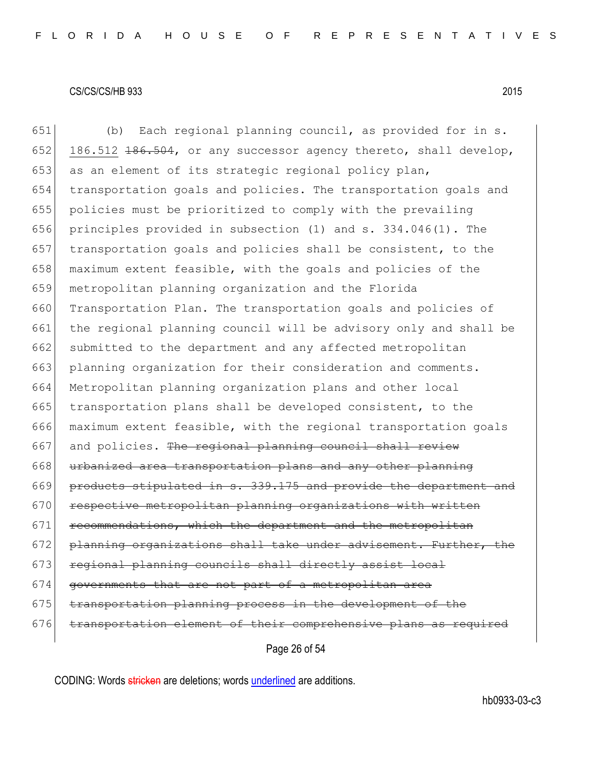651 (b) Each regional planning council, as provided for in s. 652 186.512  $\pm 86.504$ , or any successor agency thereto, shall develop, 653 as an element of its strategic regional policy plan, 654 transportation goals and policies. The transportation goals and 655 policies must be prioritized to comply with the prevailing 656 principles provided in subsection (1) and s. 334.046(1). The 657  $\vert$  transportation goals and policies shall be consistent, to the 658 maximum extent feasible, with the goals and policies of the 659 metropolitan planning organization and the Florida 660 Transportation Plan. The transportation goals and policies of 661 the regional planning council will be advisory only and shall be 662 submitted to the department and any affected metropolitan 663 planning organization for their consideration and comments. 664 Metropolitan planning organization plans and other local 665 transportation plans shall be developed consistent, to the 666 maximum extent feasible, with the regional transportation goals  $667$  and policies. The regional planning council shall review 668 urbanized area transportation plans and any other planning 669 products stipulated in s. 339.175 and provide the department and 670 respective metropolitan planning organizations with written 671 recommendations, which the department and the metropolitan 672 planning organizations shall take under advisement. Further, the 673 regional planning councils shall directly assist local 674 governments that are not part of a metropolitan area 675 transportation planning process in the development of the 676 transportation element of their comprehensive plans as required

Page 26 of 54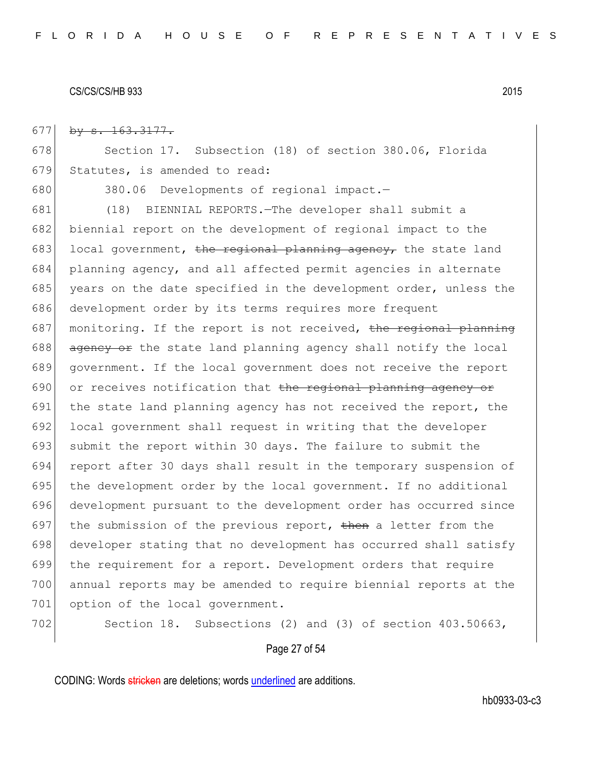677 by  $s. 163.3177.$ 

678 Section 17. Subsection (18) of section 380.06, Florida 679 Statutes, is amended to read:

680 380.06 Developments of regional impact.-

681 (18) BIENNIAL REPORTS.—The developer shall submit a 682 biennial report on the development of regional impact to the 683 local government, the regional planning agency, the state land 684 planning agency, and all affected permit agencies in alternate 685 years on the date specified in the development order, unless the 686 development order by its terms requires more frequent 687 monitoring. If the report is not received, the regional planning  $688$  agency or the state land planning agency shall notify the local 689 government. If the local government does not receive the report 690 or receives notification that the regional planning agency or 691 the state land planning agency has not received the report, the 692 local government shall request in writing that the developer 693 submit the report within 30 days. The failure to submit the 694 report after 30 days shall result in the temporary suspension of 695 the development order by the local government. If no additional 696 development pursuant to the development order has occurred since 697 the submission of the previous report, then a letter from the 698 developer stating that no development has occurred shall satisfy 699 the requirement for a report. Development orders that require 700 annual reports may be amended to require biennial reports at the 701 option of the local government.

702 Section 18. Subsections (2) and (3) of section 403.50663,

### Page 27 of 54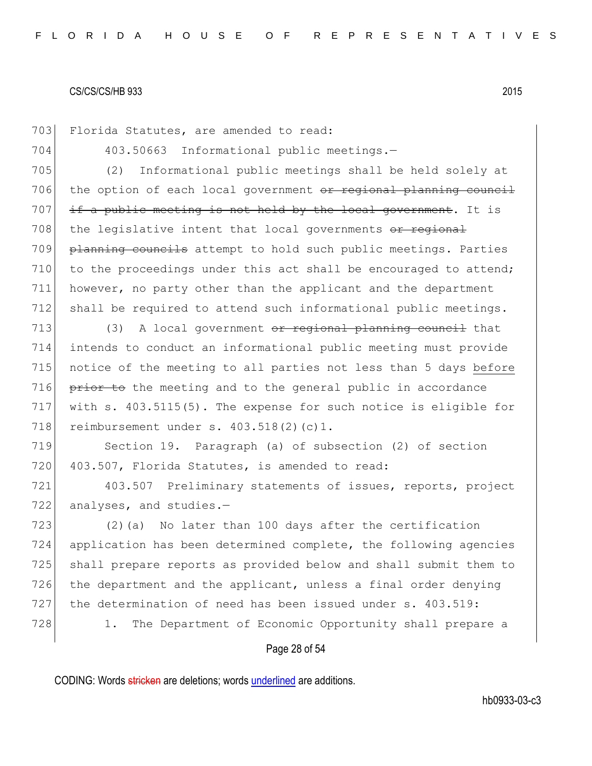703 Florida Statutes, are amended to read: 704 403.50663 Informational public meetings.— 705 (2) Informational public meetings shall be held solely at 706 the option of each local government or regional planning council  $707$  if a public meeting is not held by the local government. It is  $708$  the legislative intent that local governments  $\overline{or}$  regional 709 planning councils attempt to hold such public meetings. Parties 710 to the proceedings under this act shall be encouraged to attend; 711 however, no party other than the applicant and the department 712 shall be required to attend such informational public meetings.

713  $(3)$  A local government or regional planning council that 714 intends to conduct an informational public meeting must provide 715 notice of the meeting to all parties not less than 5 days before 716 prior to the meeting and to the general public in accordance 717 with s. 403.5115(5). The expense for such notice is eligible for 718 reimbursement under s. 403.518(2)(c)1.

719 Section 19. Paragraph (a) of subsection (2) of section 720 403.507, Florida Statutes, is amended to read:

721 403.507 Preliminary statements of issues, reports, project 722 analyses, and studies.-

723 (2)(a) No later than 100 days after the certification 724 application has been determined complete, the following agencies 725 shall prepare reports as provided below and shall submit them to 726 the department and the applicant, unless a final order denying 727 the determination of need has been issued under s. 403.519: 728 1. The Department of Economic Opportunity shall prepare a

### Page 28 of 54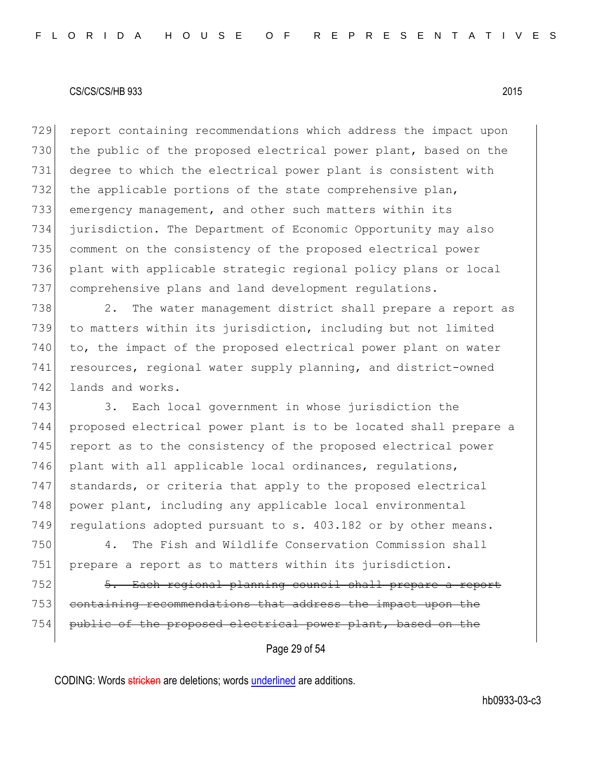729 report containing recommendations which address the impact upon 730 the public of the proposed electrical power plant, based on the 731 degree to which the electrical power plant is consistent with 732 the applicable portions of the state comprehensive plan, 733 emergency management, and other such matters within its 734 jurisdiction. The Department of Economic Opportunity may also 735 comment on the consistency of the proposed electrical power 736 plant with applicable strategic regional policy plans or local 737 comprehensive plans and land development regulations.

738 2. The water management district shall prepare a report as 739 to matters within its jurisdiction, including but not limited 740 to, the impact of the proposed electrical power plant on water 741 resources, regional water supply planning, and district-owned 742 lands and works.

743 3. Each local government in whose jurisdiction the 744 proposed electrical power plant is to be located shall prepare a 745 report as to the consistency of the proposed electrical power 746 plant with all applicable local ordinances, requlations, 747 standards, or criteria that apply to the proposed electrical 748 power plant, including any applicable local environmental 749 regulations adopted pursuant to s. 403.182 or by other means.

750 4. The Fish and Wildlife Conservation Commission shall 751 prepare a report as to matters within its jurisdiction.

752 5. Each regional planning council shall prepare a report 753 containing recommendations that address the impact upon the 754 public of the proposed electrical power plant, based on the

Page 29 of 54

CODING: Words stricken are deletions; words underlined are additions.

hb0933-03-c3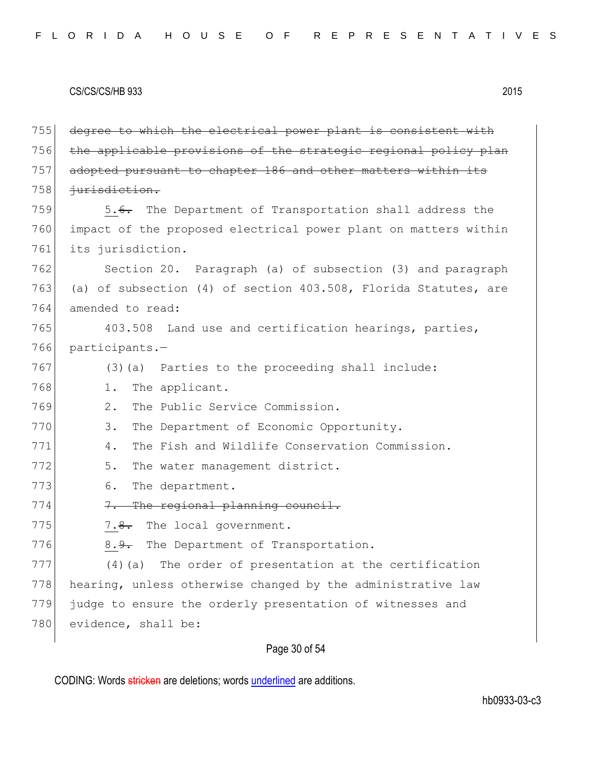755 degree to which the electrical power plant is consistent with 756 the applicable provisions of the strategic regional policy plan 757 adopted pursuant to chapter 186 and other matters within its 758 *jurisdiction.* 759 5.6. The Department of Transportation shall address the 760 impact of the proposed electrical power plant on matters within 761 its jurisdiction. 762 Section 20. Paragraph (a) of subsection (3) and paragraph 763 (a) of subsection (4) of section 403.508, Florida Statutes, are 764 amended to read: 765 403.508 Land use and certification hearings, parties, 766 participants.— 767 (3) (a) Parties to the proceeding shall include: 768 1. The applicant. 769 2. The Public Service Commission. 770 3. The Department of Economic Opportunity. 771 4. The Fish and Wildlife Conservation Commission. 772 5. The water management district. 773 6. The department. 774 7. The regional planning council. 775  $\sim$  7.8. The local government. 776 8.9. The Department of Transportation. 777 (4)(a) The order of presentation at the certification 778 hearing, unless otherwise changed by the administrative law 779 judge to ensure the orderly presentation of witnesses and 780 evidence, shall be:

# Page 30 of 54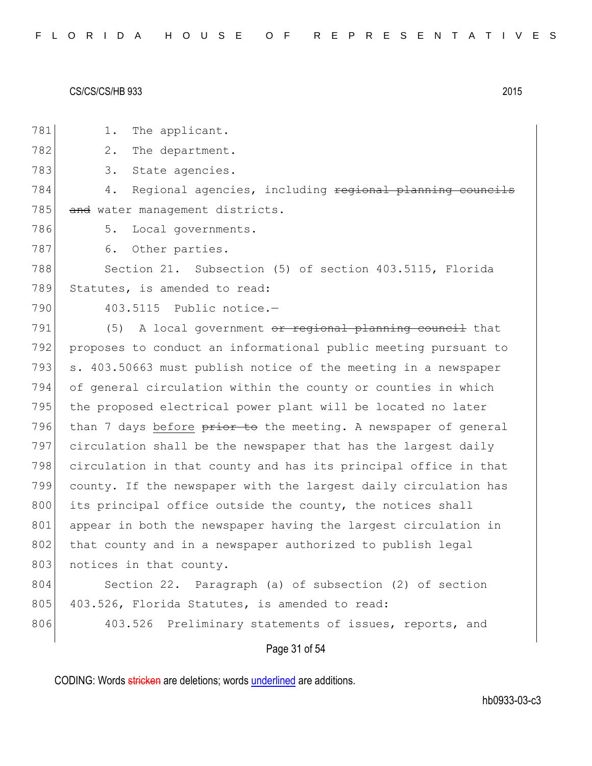Page 31 of 54 781 1. The applicant. 782 2. The department. 783 3. State agencies. 784 4. Regional agencies, including <del>regional planning councils</del> 785 and water management districts. 786 5. Local governments. 787 6. Other parties. 788 Section 21. Subsection (5) of section 403.5115, Florida 789 Statutes, is amended to read: 790 403.5115 Public notice.- $791$  (5) A local government or regional planning council that 792 proposes to conduct an informational public meeting pursuant to 793 s. 403.50663 must publish notice of the meeting in a newspaper 794 of general circulation within the county or counties in which 795 the proposed electrical power plant will be located no later 796 than 7 days before prior to the meeting. A newspaper of general 797 circulation shall be the newspaper that has the largest daily 798 circulation in that county and has its principal office in that 799 county. If the newspaper with the largest daily circulation has 800 its principal office outside the county, the notices shall 801 appear in both the newspaper having the largest circulation in 802 that county and in a newspaper authorized to publish legal 803 notices in that county. 804 Section 22. Paragraph (a) of subsection (2) of section 805 403.526, Florida Statutes, is amended to read: 806 403.526 Preliminary statements of issues, reports, and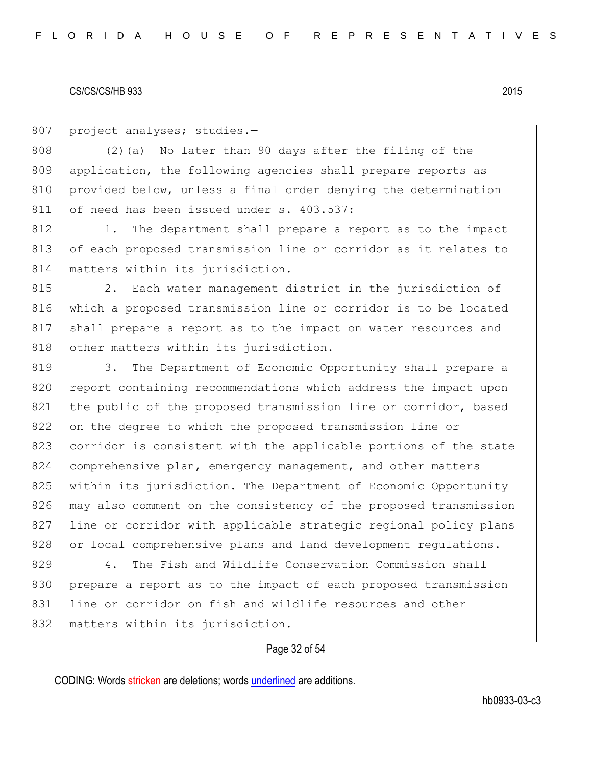807 project analyses; studies.-

808 (2)(a) No later than 90 days after the filing of the 809 application, the following agencies shall prepare reports as 810 provided below, unless a final order denying the determination 811 of need has been issued under s. 403.537:

812 1. The department shall prepare a report as to the impact 813 of each proposed transmission line or corridor as it relates to 814 matters within its jurisdiction.

815 2. Each water management district in the jurisdiction of 816 which a proposed transmission line or corridor is to be located 817 shall prepare a report as to the impact on water resources and 818 other matters within its jurisdiction.

819 3. The Department of Economic Opportunity shall prepare a 820 report containing recommendations which address the impact upon 821 the public of the proposed transmission line or corridor, based 822 on the degree to which the proposed transmission line or 823 corridor is consistent with the applicable portions of the state 824 comprehensive plan, emergency management, and other matters 825 within its jurisdiction. The Department of Economic Opportunity 826 may also comment on the consistency of the proposed transmission 827 line or corridor with applicable strategic regional policy plans 828 or local comprehensive plans and land development regulations.

829 4. The Fish and Wildlife Conservation Commission shall 830 prepare a report as to the impact of each proposed transmission 831 line or corridor on fish and wildlife resources and other 832 matters within its jurisdiction.

### Page 32 of 54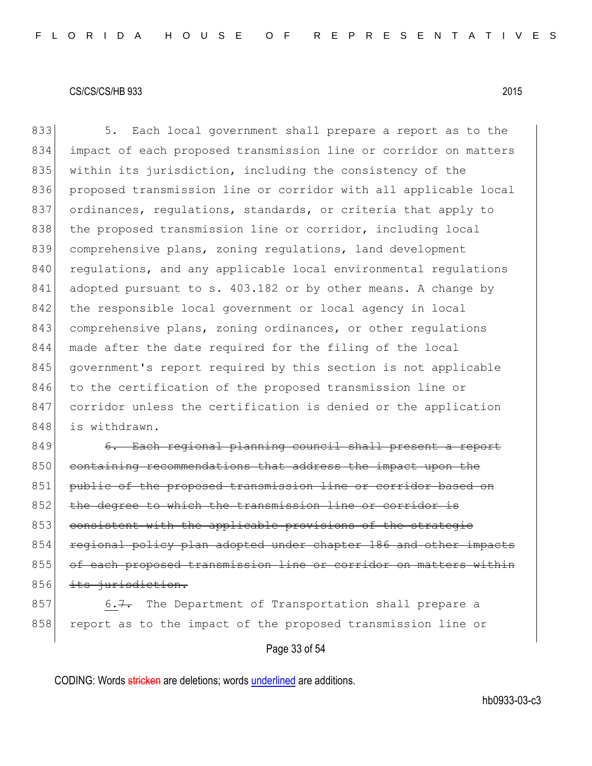833 5. Each local government shall prepare a report as to the 834 impact of each proposed transmission line or corridor on matters 835 within its jurisdiction, including the consistency of the 836 proposed transmission line or corridor with all applicable local 837 ordinances, regulations, standards, or criteria that apply to 838 the proposed transmission line or corridor, including local 839 comprehensive plans, zoning regulations, land development 840 regulations, and any applicable local environmental regulations 841 adopted pursuant to s. 403.182 or by other means. A change by 842 the responsible local government or local agency in local 843 comprehensive plans, zoning ordinances, or other regulations 844 made after the date required for the filing of the local 845 government's report required by this section is not applicable 846 to the certification of the proposed transmission line or 847 corridor unless the certification is denied or the application 848 is withdrawn.

849 6. Each regional planning council shall present a report 850 containing recommendations that address the impact upon the 851 public of the proposed transmission line or corridor based on 852 the degree to which the transmission line or corridor is 853 consistent with the applicable provisions of the strategic 854 regional policy plan adopted under chapter 186 and other impacts 855 of each proposed transmission line or corridor on matters within 856 its jurisdiction.

 $857$  6.7. The Department of Transportation shall prepare a 858 report as to the impact of the proposed transmission line or

Page 33 of 54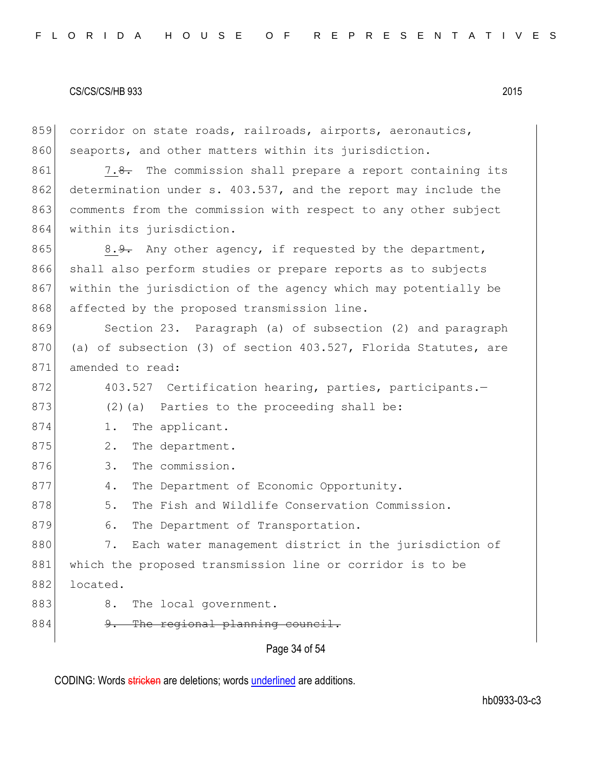| 859 | corridor on state roads, railroads, airports, aeronautics,      |
|-----|-----------------------------------------------------------------|
| 860 | seaports, and other matters within its jurisdiction.            |
| 861 | 7.8. The commission shall prepare a report containing its       |
| 862 | determination under s. 403.537, and the report may include the  |
| 863 | comments from the commission with respect to any other subject  |
| 864 | within its jurisdiction.                                        |
| 865 | $8.9$ . Any other agency, if requested by the department,       |
| 866 | shall also perform studies or prepare reports as to subjects    |
| 867 | within the jurisdiction of the agency which may potentially be  |
| 868 | affected by the proposed transmission line.                     |
| 869 | Section 23. Paragraph (a) of subsection (2) and paragraph       |
| 870 | (a) of subsection (3) of section 403.527, Florida Statutes, are |
| 871 | amended to read:                                                |
| 872 | 403.527 Certification hearing, parties, participants.-          |
| 873 | (2) (a) Parties to the proceeding shall be:                     |
| 874 | The applicant.<br>$1$ .                                         |
| 875 | 2.<br>The department.                                           |
| 876 | The commission.<br>3.                                           |
| 877 | The Department of Economic Opportunity.<br>4.                   |
| 878 | 5.<br>The Fish and Wildlife Conservation Commission.            |
| 879 | The Department of Transportation.<br>6.                         |
| 880 | 7.<br>Each water management district in the jurisdiction of     |
| 881 | which the proposed transmission line or corridor is to be       |
| 882 | located.                                                        |
| 883 | 8.<br>The local government.                                     |
| 884 | The regional planning council.<br><u>g.</u>                     |
|     | Page 34 of 54                                                   |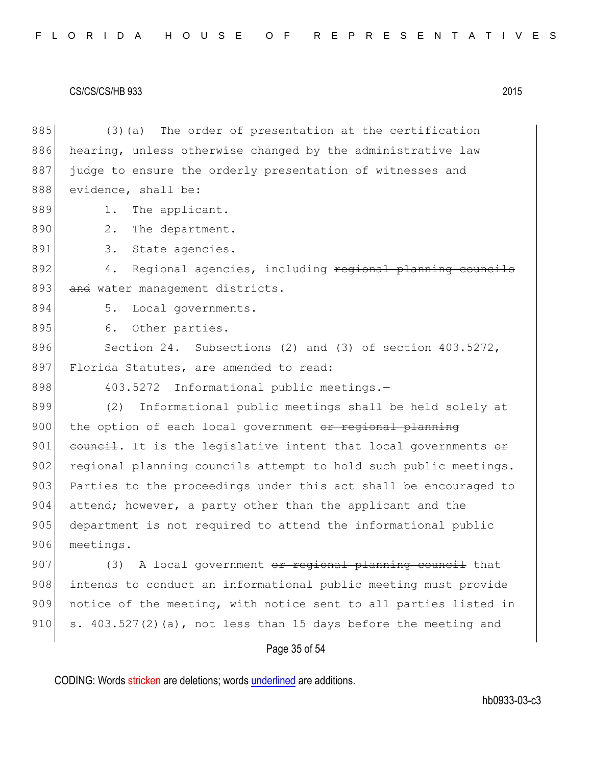885 (3) (a) The order of presentation at the certification 886 hearing, unless otherwise changed by the administrative law 887 judge to ensure the orderly presentation of witnesses and 888 evidence, shall be: 889 1. The applicant. 890 2. The department. 891 3. State agencies. 892 4. Regional agencies, including regional planning councils 893 and water management districts. 894 5. Local governments. 895 6. Other parties. 896 Section 24. Subsections (2) and (3) of section 403.5272, 897 Florida Statutes, are amended to read: 898 403.5272 Informational public meetings.-899 (2) Informational public meetings shall be held solely at 900 the option of each local government or regional planning 901 council. It is the legislative intent that local governments  $\Theta$ r  $902$  regional planning councils attempt to hold such public meetings. 903 Parties to the proceedings under this act shall be encouraged to 904 attend; however, a party other than the applicant and the 905 department is not required to attend the informational public 906 meetings. 907 (3) A local government  $\sigma$ r regional planning council that 908 intends to conduct an informational public meeting must provide 909 notice of the meeting, with notice sent to all parties listed in 910 s.  $403.527(2)(a)$ , not less than 15 days before the meeting and

### Page 35 of 54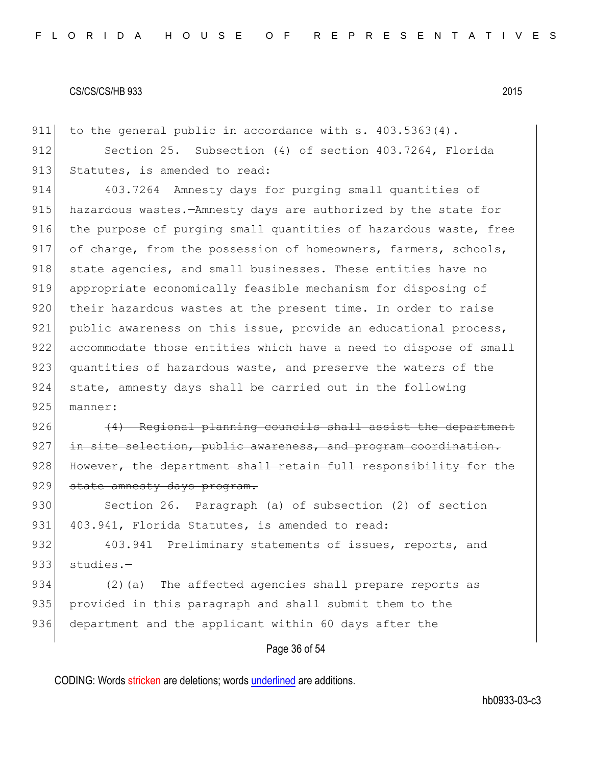911 to the general public in accordance with s. 403.5363(4). 912 Section 25. Subsection (4) of section 403.7264, Florida 913 Statutes, is amended to read:

914 403.7264 Amnesty days for purging small quantities of 915 hazardous wastes.—Amnesty days are authorized by the state for 916 the purpose of purging small quantities of hazardous waste, free 917 of charge, from the possession of homeowners, farmers, schools, 918 state agencies, and small businesses. These entities have no 919 appropriate economically feasible mechanism for disposing of 920 their hazardous wastes at the present time. In order to raise 921 public awareness on this issue, provide an educational process, 922 accommodate those entities which have a need to dispose of small 923 quantities of hazardous waste, and preserve the waters of the 924 state, amnesty days shall be carried out in the following 925 manner:

 $926$  (4) Regional planning councils shall assist the department 927 in site selection, public awareness, and program coordination. 928 However, the department shall retain full responsibility for the 929 state amnesty days program.

930 Section 26. Paragraph (a) of subsection (2) of section 931 403.941, Florida Statutes, is amended to read:

932 403.941 Preliminary statements of issues, reports, and 933 studies.-

934 (2)(a) The affected agencies shall prepare reports as 935 provided in this paragraph and shall submit them to the 936 department and the applicant within 60 days after the

## Page 36 of 54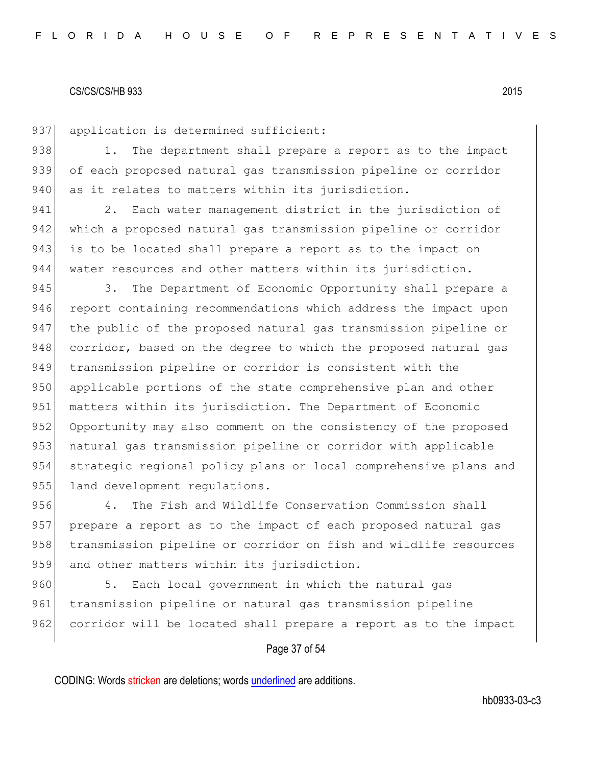937 application is determined sufficient: 938 1. The department shall prepare a report as to the impact 939 of each proposed natural gas transmission pipeline or corridor

940 as it relates to matters within its jurisdiction.

941 2. Each water management district in the jurisdiction of 942 which a proposed natural gas transmission pipeline or corridor 943 is to be located shall prepare a report as to the impact on 944 water resources and other matters within its jurisdiction.

945 3. The Department of Economic Opportunity shall prepare a 946 report containing recommendations which address the impact upon 947 the public of the proposed natural gas transmission pipeline or 948 corridor, based on the degree to which the proposed natural gas 949 transmission pipeline or corridor is consistent with the 950 applicable portions of the state comprehensive plan and other 951 matters within its jurisdiction. The Department of Economic 952 Opportunity may also comment on the consistency of the proposed 953 natural gas transmission pipeline or corridor with applicable 954 strategic regional policy plans or local comprehensive plans and 955 land development regulations.

956 4. The Fish and Wildlife Conservation Commission shall 957 prepare a report as to the impact of each proposed natural gas 958 transmission pipeline or corridor on fish and wildlife resources 959 and other matters within its jurisdiction.

960 5. Each local government in which the natural gas 961 transmission pipeline or natural gas transmission pipeline 962 corridor will be located shall prepare a report as to the impact

## Page 37 of 54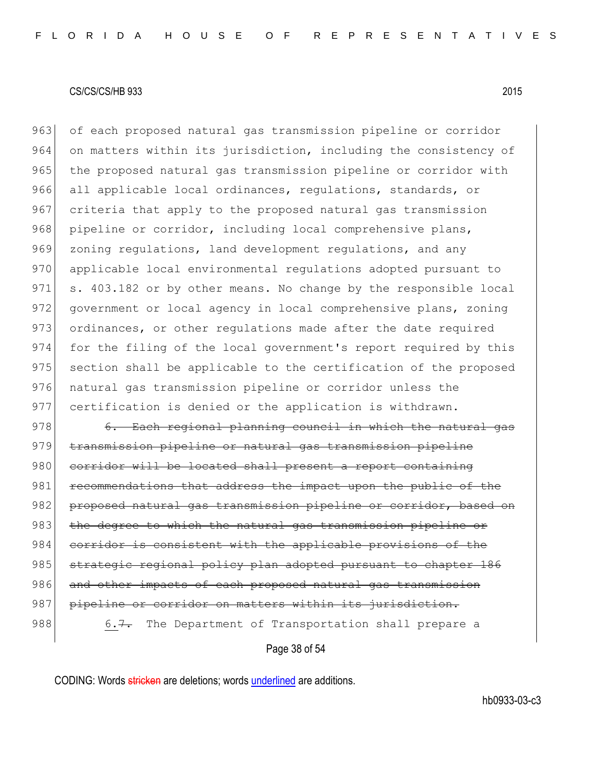963 of each proposed natural gas transmission pipeline or corridor 964 on matters within its jurisdiction, including the consistency of 965 the proposed natural gas transmission pipeline or corridor with 966 all applicable local ordinances, regulations, standards, or 967 criteria that apply to the proposed natural gas transmission 968 pipeline or corridor, including local comprehensive plans, 969 zoning regulations, land development regulations, and any 970 applicable local environmental regulations adopted pursuant to 971 s. 403.182 or by other means. No change by the responsible local 972 government or local agency in local comprehensive plans, zoning 973 ordinances, or other regulations made after the date required 974 for the filing of the local government's report required by this 975 section shall be applicable to the certification of the proposed 976 natural gas transmission pipeline or corridor unless the 977 certification is denied or the application is withdrawn.

978 6. Each regional planning council in which the natural gas 979 transmission pipeline or natural gas transmission pipeline 980 corridor will be located shall present a report containing 981 recommendations that address the impact upon the public of the 982 proposed natural gas transmission pipeline or corridor, based on 983 the degree to which the natural gas transmission pipeline or 984 corridor is consistent with the applicable provisions of the 985 strategic regional policy plan adopted pursuant to chapter 186 986 and other impacts of each proposed natural gas transmission 987 pipeline or corridor on matters within its jurisdiction. 988 6.7. The Department of Transportation shall prepare a

Page 38 of 54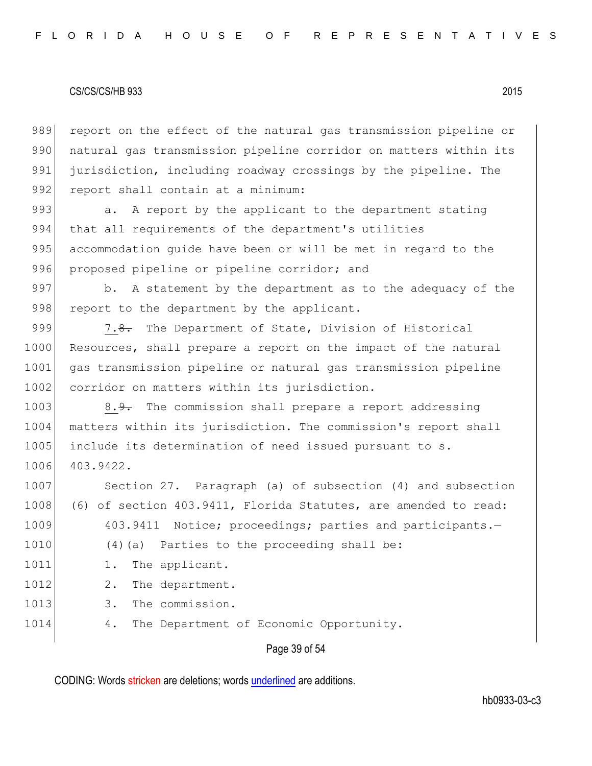989 report on the effect of the natural gas transmission pipeline or 990 natural gas transmission pipeline corridor on matters within its 991 jurisdiction, including roadway crossings by the pipeline. The 992 report shall contain at a minimum:

993 a. A report by the applicant to the department stating 994 that all requirements of the department's utilities 995 accommodation guide have been or will be met in regard to the 996 proposed pipeline or pipeline corridor; and

997 b. A statement by the department as to the adequacy of the 998 report to the department by the applicant.

999 7.8. The Department of State, Division of Historical 1000 Resources, shall prepare a report on the impact of the natural 1001 gas transmission pipeline or natural gas transmission pipeline 1002 corridor on matters within its jurisdiction.

1003 8.9. The commission shall prepare a report addressing 1004 matters within its jurisdiction. The commission's report shall 1005 include its determination of need issued pursuant to s. 1006 403.9422.

1007 Section 27. Paragraph (a) of subsection (4) and subsection 1008 (6) of section 403.9411, Florida Statutes, are amended to read: 1009 403.9411 Notice; proceedings; parties and participants.-1010 (4)(a) Parties to the proceeding shall be: 1011 1. The applicant. 1012 2. The department. 1013 3. The commission. 1014 4. The Department of Economic Opportunity.

### Page 39 of 54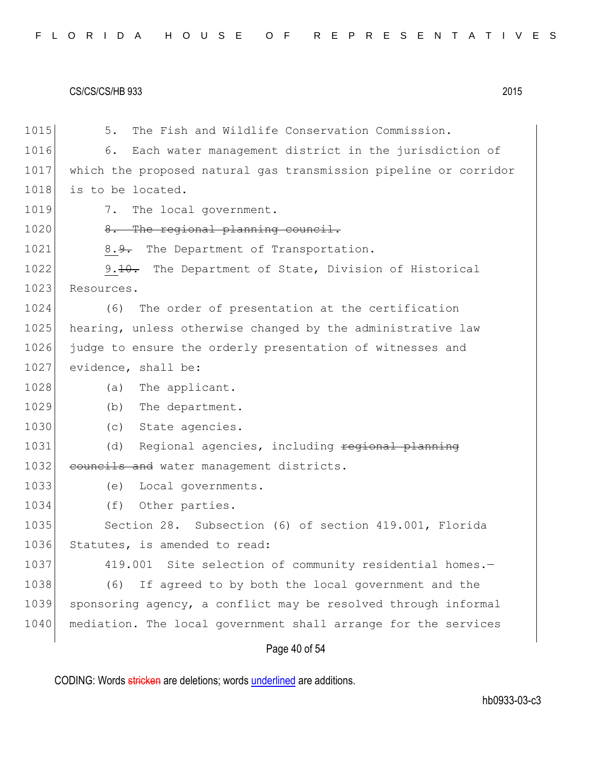| 1015 | The Fish and Wildlife Conservation Commission.<br>5.             |
|------|------------------------------------------------------------------|
| 1016 | Each water management district in the jurisdiction of<br>6.      |
| 1017 | which the proposed natural gas transmission pipeline or corridor |
| 1018 | is to be located.                                                |
| 1019 | 7.<br>The local government.                                      |
| 1020 | 8. The regional planning council.                                |
| 1021 | The Department of Transportation.<br>8. <del>9.</del>            |
| 1022 | 9.10. The Department of State, Division of Historical            |
| 1023 | Resources.                                                       |
| 1024 | The order of presentation at the certification<br>(6)            |
| 1025 | hearing, unless otherwise changed by the administrative law      |
| 1026 | judge to ensure the orderly presentation of witnesses and        |
| 1027 | evidence, shall be:                                              |
| 1028 | The applicant.<br>(a)                                            |
| 1029 | (b) The department.                                              |
| 1030 | State agencies.<br>(C)                                           |
| 1031 | Regional agencies, including regional planning<br>(d)            |
| 1032 | councils and water management districts.                         |
| 1033 | (e)<br>Local governments.                                        |
| 1034 | (f)<br>Other parties.                                            |
| 1035 | Section 28. Subsection (6) of section 419.001, Florida           |
| 1036 | Statutes, is amended to read:                                    |
| 1037 | 419.001 Site selection of community residential homes.-          |
| 1038 | (6)<br>If agreed to by both the local government and the         |
| 1039 | sponsoring agency, a conflict may be resolved through informal   |
| 1040 | mediation. The local government shall arrange for the services   |
|      | Page 40 of 54                                                    |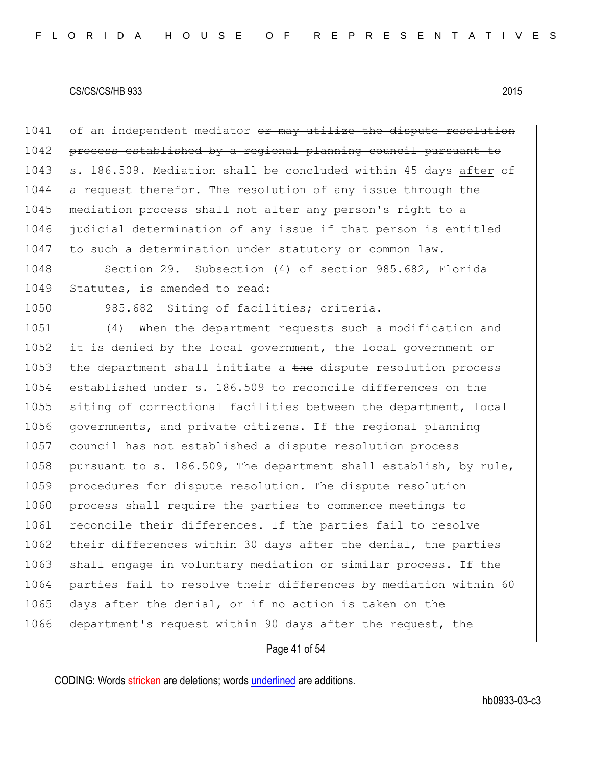1041 of an independent mediator or may utilize the dispute resolution 1042 process established by a regional planning council pursuant to 1043  $\sigma$ . 186.509. Mediation shall be concluded within 45 days after  $\sigma$ 1044 a request therefor. The resolution of any issue through the 1045 mediation process shall not alter any person's right to a 1046 judicial determination of any issue if that person is entitled 1047 to such a determination under statutory or common law.

1048 Section 29. Subsection (4) of section 985.682, Florida 1049 Statutes, is amended to read:

1050 985.682 Siting of facilities; criteria.-

1051 (4) When the department requests such a modification and 1052 it is denied by the local government, the local government or 1053 the department shall initiate a  $t$ he dispute resolution process 1054 established under s. 186.509 to reconcile differences on the 1055 siting of correctional facilities between the department, local 1056 governments, and private citizens.  $\pm f$  the regional planning 1057 council has not established a dispute resolution process 1058 pursuant to s. 186.509, The department shall establish, by rule, 1059 procedures for dispute resolution. The dispute resolution 1060 process shall require the parties to commence meetings to 1061 reconcile their differences. If the parties fail to resolve 1062 their differences within 30 days after the denial, the parties 1063 shall engage in voluntary mediation or similar process. If the 1064 parties fail to resolve their differences by mediation within 60 1065 days after the denial, or if no action is taken on the 1066 department's request within 90 days after the request, the

## Page 41 of 54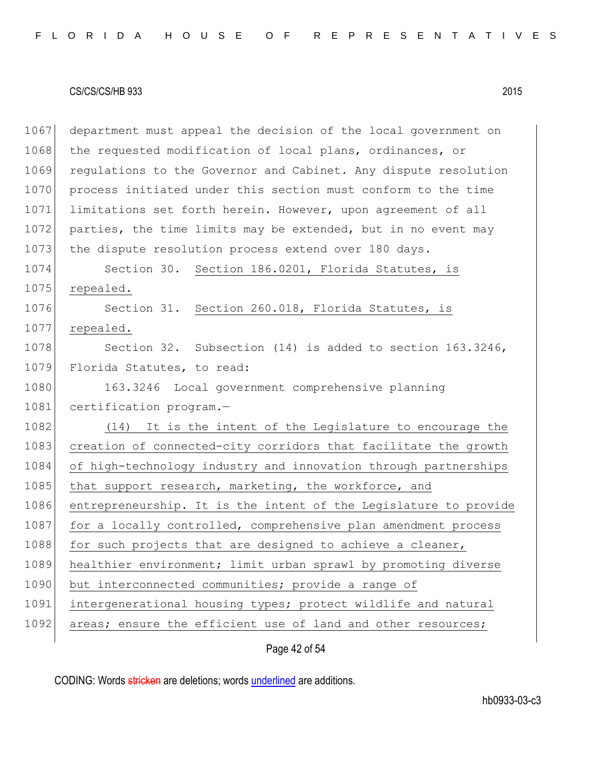1067 department must appeal the decision of the local government on 1068 the requested modification of local plans, ordinances, or 1069 regulations to the Governor and Cabinet. Any dispute resolution 1070 process initiated under this section must conform to the time 1071 limitations set forth herein. However, upon agreement of all 1072 parties, the time limits may be extended, but in no event may 1073 the dispute resolution process extend over 180 days. 1074 Section 30. Section 186.0201, Florida Statutes, is 1075 repealed. 1076 Section 31. Section 260.018, Florida Statutes, is 1077 repealed. 1078 Section 32. Subsection (14) is added to section 163.3246, 1079 Florida Statutes, to read: 1080 163.3246 Local government comprehensive planning 1081 certification program.-1082 (14) It is the intent of the Legislature to encourage the 1083 creation of connected-city corridors that facilitate the growth 1084 of high-technology industry and innovation through partnerships 1085 that support research, marketing, the workforce, and 1086 entrepreneurship. It is the intent of the Legislature to provide 1087 for a locally controlled, comprehensive plan amendment process  $1088$  for such projects that are designed to achieve a cleaner, 1089 healthier environment; limit urban sprawl by promoting diverse 1090 but interconnected communities; provide a range of 1091 intergenerational housing types; protect wildlife and natural 1092 areas; ensure the efficient use of land and other resources;

Page 42 of 54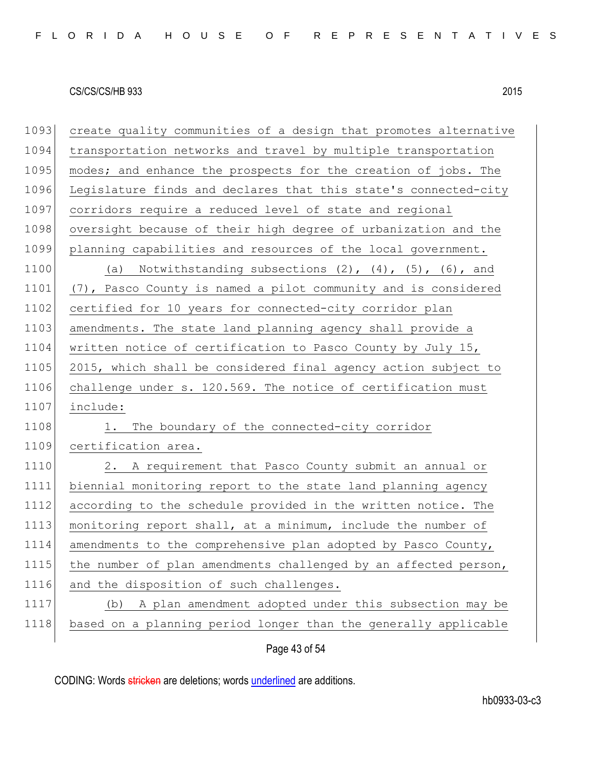| 1093 | create quality communities of a design that promotes alternative    |
|------|---------------------------------------------------------------------|
| 1094 | transportation networks and travel by multiple transportation       |
| 1095 | modes; and enhance the prospects for the creation of jobs. The      |
| 1096 | Legislature finds and declares that this state's connected-city     |
| 1097 | corridors require a reduced level of state and regional             |
| 1098 | oversight because of their high degree of urbanization and the      |
| 1099 | planning capabilities and resources of the local government.        |
| 1100 | (a) Notwithstanding subsections $(2)$ , $(4)$ , $(5)$ , $(6)$ , and |
| 1101 | (7), Pasco County is named a pilot community and is considered      |
| 1102 | certified for 10 years for connected-city corridor plan             |
| 1103 | amendments. The state land planning agency shall provide a          |
| 1104 | written notice of certification to Pasco County by July 15,         |
| 1105 | 2015, which shall be considered final agency action subject to      |
| 1106 | challenge under s. 120.569. The notice of certification must        |
| 1107 | include:                                                            |
| 1108 | The boundary of the connected-city corridor<br>1.                   |
| 1109 | certification area.                                                 |
| 1110 | 2. A requirement that Pasco County submit an annual or              |
| 1111 | biennial monitoring report to the state land planning agency        |
| 1112 | according to the schedule provided in the written notice. The       |
| 1113 | monitoring report shall, at a minimum, include the number of        |
| 1114 | amendments to the comprehensive plan adopted by Pasco County,       |
| 1115 | the number of plan amendments challenged by an affected person,     |
| 1116 | and the disposition of such challenges.                             |
| 1117 | A plan amendment adopted under this subsection may be<br>(b)        |
| 1118 | based on a planning period longer than the generally applicable     |
|      |                                                                     |

Page 43 of 54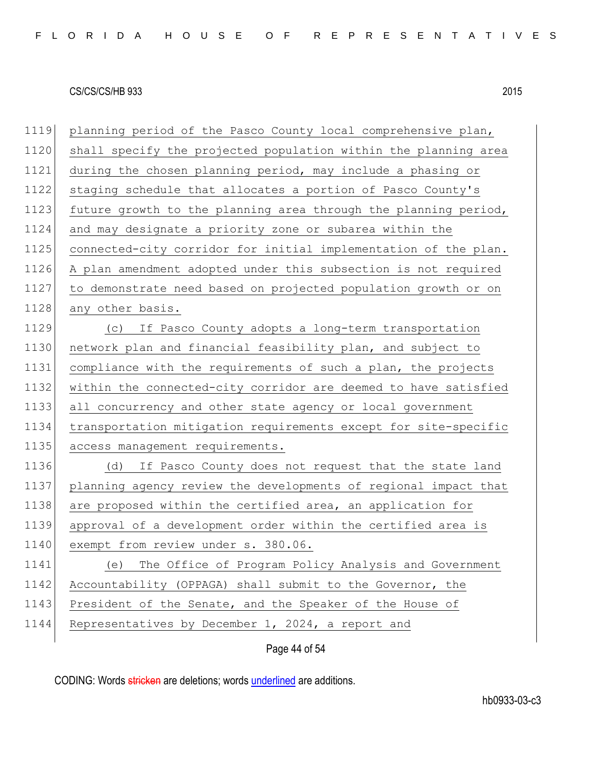planning period of the Pasco County local comprehensive plan, 1120 shall specify the projected population within the planning area during the chosen planning period, may include a phasing or staging schedule that allocates a portion of Pasco County's 1123 future growth to the planning area through the planning period, and may designate a priority zone or subarea within the 1125 connected-city corridor for initial implementation of the plan. A plan amendment adopted under this subsection is not required to demonstrate need based on projected population growth or on 1128 any other basis. (c) If Pasco County adopts a long-term transportation network plan and financial feasibility plan, and subject to compliance with the requirements of such a plan, the projects within the connected-city corridor are deemed to have satisfied all concurrency and other state agency or local government transportation mitigation requirements except for site-specific 1135 access management requirements. (d) If Pasco County does not request that the state land planning agency review the developments of regional impact that 1138 are proposed within the certified area, an application for approval of a development order within the certified area is 1140 exempt from review under s. 380.06. (e) The Office of Program Policy Analysis and Government Accountability (OPPAGA) shall submit to the Governor, the 1143 President of the Senate, and the Speaker of the House of 1144 Representatives by December 1, 2024, a report and

Page 44 of 54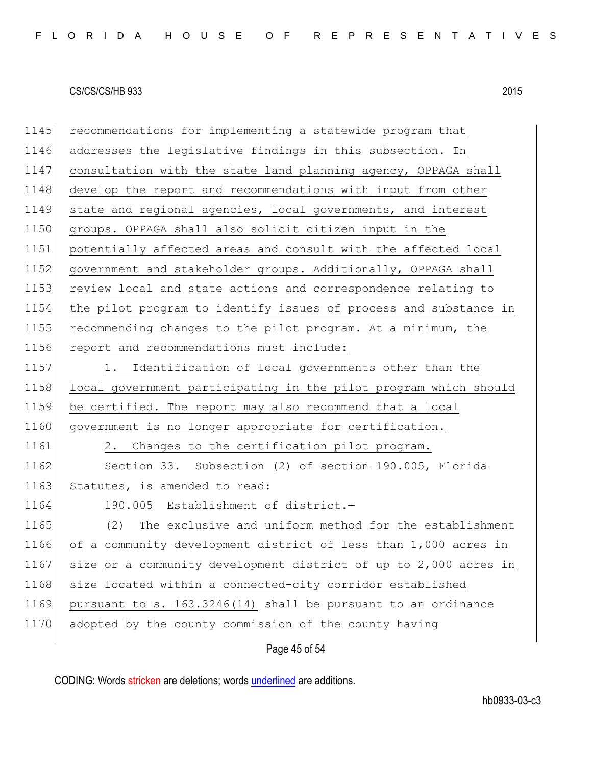1145 recommendations for implementing a statewide program that 1146 addresses the legislative findings in this subsection. In 1147 consultation with the state land planning agency, OPPAGA shall 1148 develop the report and recommendations with input from other 1149 state and regional agencies, local governments, and interest 1150 groups. OPPAGA shall also solicit citizen input in the 1151 potentially affected areas and consult with the affected local 1152 government and stakeholder groups. Additionally, OPPAGA shall 1153 review local and state actions and correspondence relating to 1154 the pilot program to identify issues of process and substance in 1155 recommending changes to the pilot program. At a minimum, the 1156 report and recommendations must include: 1157 1. Identification of local governments other than the 1158 local government participating in the pilot program which should 1159 be certified. The report may also recommend that a local 1160 government is no longer appropriate for certification. 1161 2. Changes to the certification pilot program. 1162 Section 33. Subsection (2) of section 190.005, Florida 1163 Statutes, is amended to read: 1164 190.005 Establishment of district.-1165 (2) The exclusive and uniform method for the establishment 1166 of a community development district of less than 1,000 acres in 1167 size or a community development district of up to 2,000 acres in 1168 size located within a connected-city corridor established 1169 pursuant to s. 163.3246(14) shall be pursuant to an ordinance 1170 adopted by the county commission of the county having

Page 45 of 54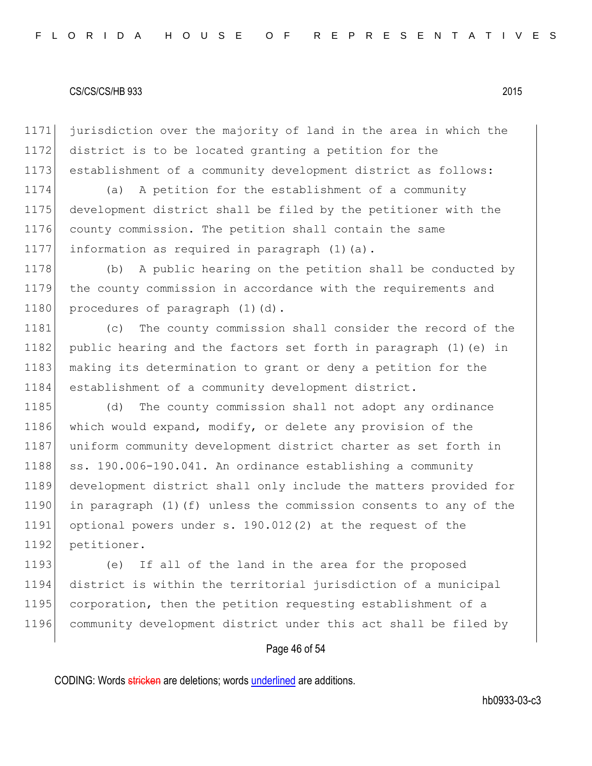1171 jurisdiction over the majority of land in the area in which the 1172 district is to be located granting a petition for the 1173 establishment of a community development district as follows:

 (a) A petition for the establishment of a community development district shall be filed by the petitioner with the county commission. The petition shall contain the same information as required in paragraph (1)(a).

1178 (b) A public hearing on the petition shall be conducted by 1179 the county commission in accordance with the requirements and 1180 procedures of paragraph (1)(d).

1181 (c) The county commission shall consider the record of the 1182 public hearing and the factors set forth in paragraph (1) (e) in 1183 making its determination to grant or deny a petition for the 1184 establishment of a community development district.

1185 (d) The county commission shall not adopt any ordinance 1186 which would expand, modify, or delete any provision of the 1187 uniform community development district charter as set forth in 1188  $\vert$  ss. 190.006-190.041. An ordinance establishing a community 1189 development district shall only include the matters provided for 1190 in paragraph (1)(f) unless the commission consents to any of the 1191 optional powers under s. 190.012(2) at the request of the 1192 petitioner.

 (e) If all of the land in the area for the proposed district is within the territorial jurisdiction of a municipal 1195 corporation, then the petition requesting establishment of a community development district under this act shall be filed by

### Page 46 of 54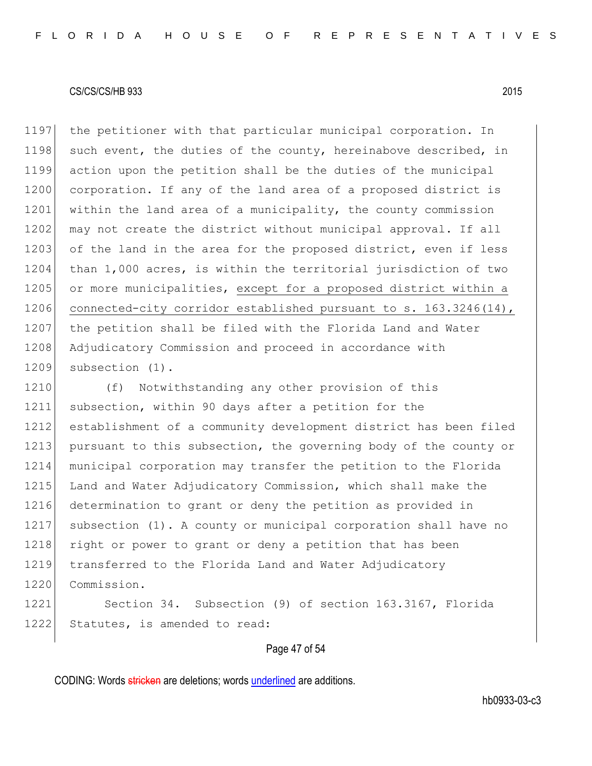1197 the petitioner with that particular municipal corporation. In 1198 such event, the duties of the county, hereinabove described, in 1199 action upon the petition shall be the duties of the municipal 1200 corporation. If any of the land area of a proposed district is 1201 within the land area of a municipality, the county commission 1202 may not create the district without municipal approval. If all 1203 of the land in the area for the proposed district, even if less 1204 than 1,000 acres, is within the territorial jurisdiction of two 1205 or more municipalities, except for a proposed district within a 1206 connected-city corridor established pursuant to s. 163.3246(14), 1207 the petition shall be filed with the Florida Land and Water 1208 Adjudicatory Commission and proceed in accordance with 1209 subsection (1).

1210 (f) Notwithstanding any other provision of this 1211 subsection, within 90 days after a petition for the 1212 establishment of a community development district has been filed 1213 pursuant to this subsection, the governing body of the county or 1214 municipal corporation may transfer the petition to the Florida 1215 Land and Water Adjudicatory Commission, which shall make the 1216 determination to grant or deny the petition as provided in 1217 subsection (1). A county or municipal corporation shall have no 1218 right or power to grant or deny a petition that has been 1219 transferred to the Florida Land and Water Adjudicatory 1220 Commission. 1221 Section 34. Subsection (9) of section 163.3167, Florida

### Page 47 of 54

CODING: Words stricken are deletions; words underlined are additions.

1222 Statutes, is amended to read: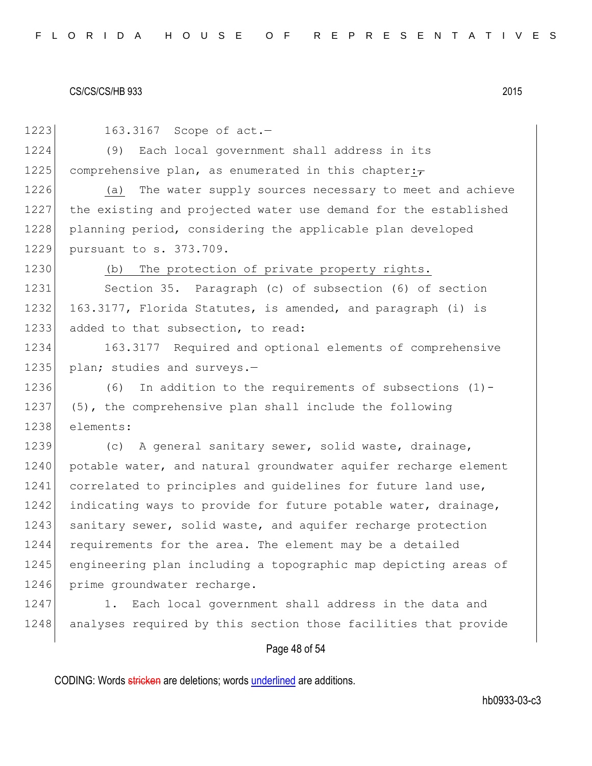| 1223 | 163.3167 Scope of act.-                                         |
|------|-----------------------------------------------------------------|
| 1224 | Each local government shall address in its<br>(9)               |
| 1225 | comprehensive plan, as enumerated in this chapter: $\tau$       |
| 1226 | (a) The water supply sources necessary to meet and achieve      |
| 1227 | the existing and projected water use demand for the established |
| 1228 | planning period, considering the applicable plan developed      |
| 1229 | pursuant to s. 373.709.                                         |
| 1230 | The protection of private property rights.<br>(b)               |
| 1231 | Section 35. Paragraph (c) of subsection (6) of section          |
| 1232 | 163.3177, Florida Statutes, is amended, and paragraph (i) is    |
| 1233 | added to that subsection, to read:                              |
| 1234 | 163.3177 Required and optional elements of comprehensive        |
| 1235 | plan; studies and surveys.-                                     |
| 1236 | (6) In addition to the requirements of subsections $(1)$ -      |
| 1237 | (5), the comprehensive plan shall include the following         |
| 1238 | elements:                                                       |
| 1239 | (c) A general sanitary sewer, solid waste, drainage,            |
| 1240 | potable water, and natural groundwater aquifer recharge element |
| 1241 | correlated to principles and guidelines for future land use,    |
| 1242 | indicating ways to provide for future potable water, drainage,  |
| 1243 | sanitary sewer, solid waste, and aquifer recharge protection    |
| 1244 | requirements for the area. The element may be a detailed        |
| 1245 | engineering plan including a topographic map depicting areas of |
| 1246 | prime groundwater recharge.                                     |
| 1247 | Each local government shall address in the data and<br>1.       |
| 1248 | analyses required by this section those facilities that provide |

# Page 48 of 54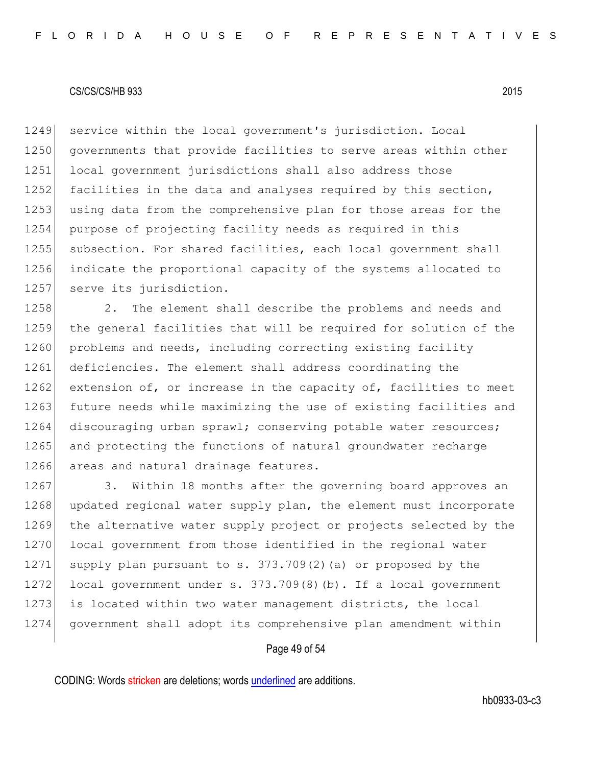1249 service within the local government's jurisdiction. Local 1250 governments that provide facilities to serve areas within other 1251 local government jurisdictions shall also address those 1252 facilities in the data and analyses required by this section, 1253 using data from the comprehensive plan for those areas for the 1254 purpose of projecting facility needs as required in this 1255 subsection. For shared facilities, each local government shall 1256 indicate the proportional capacity of the systems allocated to 1257 serve its jurisdiction.

1258 2. The element shall describe the problems and needs and 1259 the general facilities that will be required for solution of the 1260 problems and needs, including correcting existing facility 1261 deficiencies. The element shall address coordinating the 1262 extension of, or increase in the capacity of, facilities to meet 1263 future needs while maximizing the use of existing facilities and 1264 discouraging urban sprawl; conserving potable water resources; 1265 and protecting the functions of natural groundwater recharge 1266 areas and natural drainage features.

1267 3. Within 18 months after the governing board approves an 1268 updated regional water supply plan, the element must incorporate 1269 the alternative water supply project or projects selected by the 1270 local government from those identified in the regional water 1271 supply plan pursuant to s.  $373.709(2)$  (a) or proposed by the 1272 local government under s. 373.709(8)(b). If a local government 1273 is located within two water management districts, the local 1274 government shall adopt its comprehensive plan amendment within

### Page 49 of 54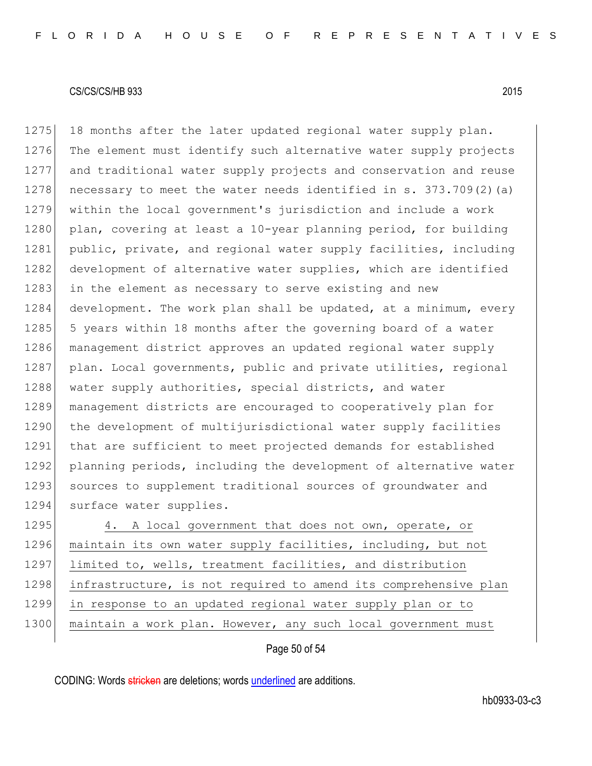1275 18 months after the later updated regional water supply plan. 1276 The element must identify such alternative water supply projects 1277 and traditional water supply projects and conservation and reuse 1278 necessary to meet the water needs identified in s. 373.709(2)(a) 1279 within the local government's jurisdiction and include a work 1280 plan, covering at least a 10-year planning period, for building 1281 public, private, and regional water supply facilities, including 1282 development of alternative water supplies, which are identified 1283 in the element as necessary to serve existing and new 1284 development. The work plan shall be updated, at a minimum, every 1285 5 years within 18 months after the governing board of a water 1286 management district approves an updated regional water supply 1287 plan. Local governments, public and private utilities, regional 1288 water supply authorities, special districts, and water 1289 management districts are encouraged to cooperatively plan for 1290 the development of multijurisdictional water supply facilities 1291 that are sufficient to meet projected demands for established 1292 planning periods, including the development of alternative water 1293 sources to supplement traditional sources of groundwater and 1294 surface water supplies. 1295 4. A local government that does not own, operate, or

1296 maintain its own water supply facilities, including, but not 1297 limited to, wells, treatment facilities, and distribution 1298 infrastructure, is not required to amend its comprehensive plan 1299 in response to an updated regional water supply plan or to 1300 maintain a work plan. However, any such local government must

Page 50 of 54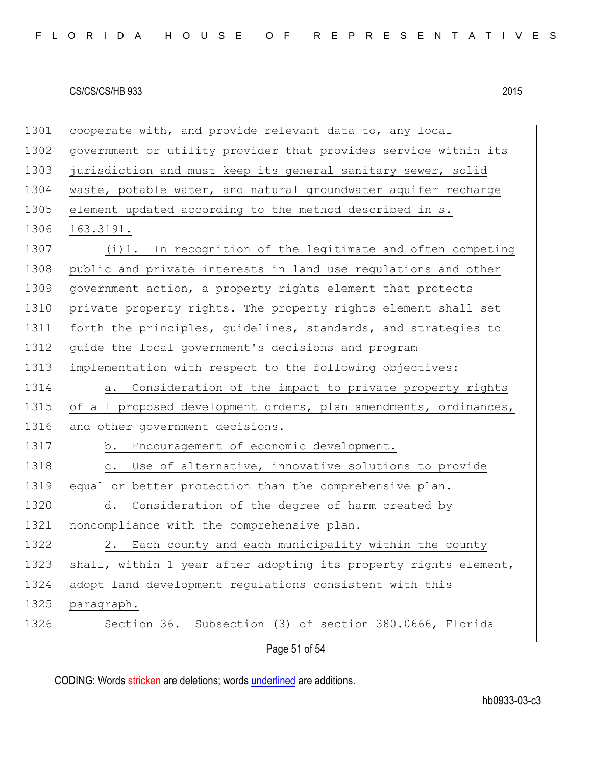Page 51 of 54 1301 cooperate with, and provide relevant data to, any local 1302 government or utility provider that provides service within its 1303 jurisdiction and must keep its general sanitary sewer, solid 1304 waste, potable water, and natural groundwater aquifer recharge 1305 element updated according to the method described in s. 1306 163.3191. 1307 (i)1. In recognition of the legitimate and often competing 1308 public and private interests in land use requlations and other 1309 government action, a property rights element that protects 1310 private property rights. The property rights element shall set 1311 forth the principles, guidelines, standards, and strategies to 1312 guide the local government's decisions and program 1313 implementation with respect to the following objectives: 1314 **a.** Consideration of the impact to private property rights 1315 of all proposed development orders, plan amendments, ordinances, 1316 and other government decisions. 1317 b. Encouragement of economic development. 1318 c. Use of alternative, innovative solutions to provide 1319 equal or better protection than the comprehensive plan. 1320 d. Consideration of the degree of harm created by 1321 noncompliance with the comprehensive plan. 1322 2. Each county and each municipality within the county 1323 shall, within 1 year after adopting its property rights element, 1324 adopt land development regulations consistent with this 1325 | paragraph. 1326 Section 36. Subsection (3) of section 380.0666, Florida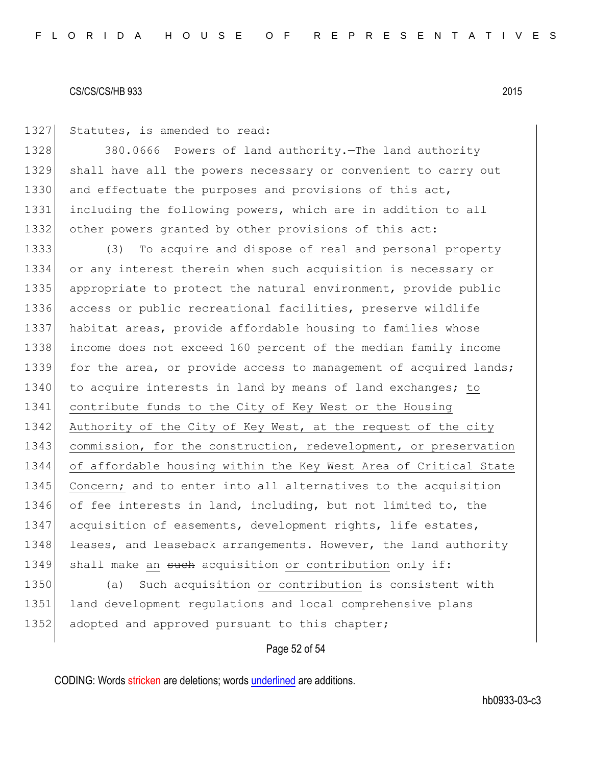1327 Statutes, is amended to read:

1328 380.0666 Powers of land authority.—The land authority 1329 shall have all the powers necessary or convenient to carry out 1330 and effectuate the purposes and provisions of this act, 1331 including the following powers, which are in addition to all 1332 other powers granted by other provisions of this act:

1333 (3) To acquire and dispose of real and personal property 1334 or any interest therein when such acquisition is necessary or 1335 appropriate to protect the natural environment, provide public 1336 access or public recreational facilities, preserve wildlife 1337 habitat areas, provide affordable housing to families whose 1338 income does not exceed 160 percent of the median family income 1339 for the area, or provide access to management of acquired lands; 1340 to acquire interests in land by means of land exchanges; to 1341 contribute funds to the City of Key West or the Housing 1342 Authority of the City of Key West, at the request of the city 1343 commission, for the construction, redevelopment, or preservation 1344 of affordable housing within the Key West Area of Critical State 1345 Concern; and to enter into all alternatives to the acquisition 1346 of fee interests in land, including, but not limited to, the 1347 acquisition of easements, development rights, life estates, 1348 leases, and leaseback arrangements. However, the land authority 1349 shall make an such acquisition or contribution only if:

1350 (a) Such acquisition or contribution is consistent with 1351 land development regulations and local comprehensive plans 1352 adopted and approved pursuant to this chapter;

### Page 52 of 54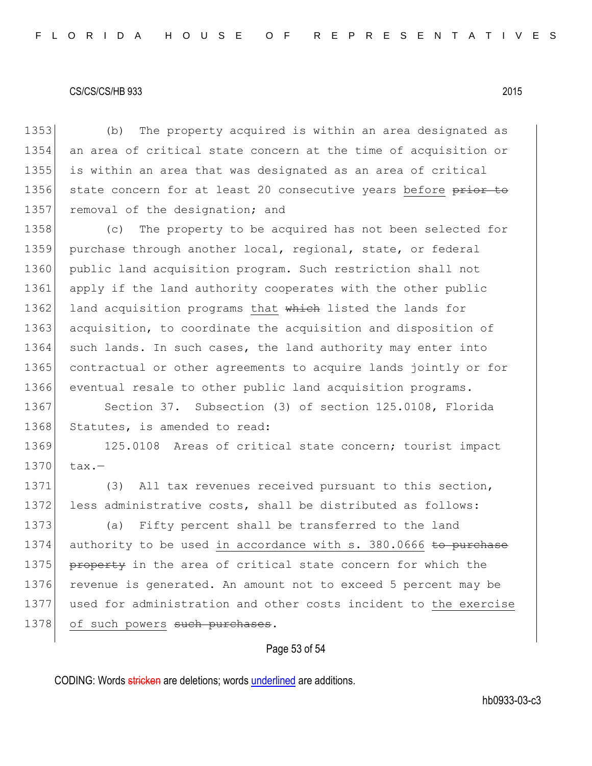1353 (b) The property acquired is within an area designated as 1354 an area of critical state concern at the time of acquisition or 1355 is within an area that was designated as an area of critical 1356 state concern for at least 20 consecutive years before prior to 1357 removal of the designation; and 1358 (c) The property to be acquired has not been selected for 1359 purchase through another local, regional, state, or federal 1360 public land acquisition program. Such restriction shall not 1361 apply if the land authority cooperates with the other public 1362 land acquisition programs that which listed the lands for 1363 acquisition, to coordinate the acquisition and disposition of 1364 such lands. In such cases, the land authority may enter into 1365 contractual or other agreements to acquire lands jointly or for 1366 eventual resale to other public land acquisition programs. 1367 Section 37. Subsection (3) of section 125.0108, Florida 1368 Statutes, is amended to read: 1369 125.0108 Areas of critical state concern; tourist impact  $1370$  tax.-1371 (3) All tax revenues received pursuant to this section, 1372 less administrative costs, shall be distributed as follows: 1373 (a) Fifty percent shall be transferred to the land 1374 authority to be used in accordance with s. 380.0666 to purchase 1375 **property** in the area of critical state concern for which the 1376 revenue is generated. An amount not to exceed 5 percent may be 1377 used for administration and other costs incident to the exercise 1378 of such powers such purchases.

# Page 53 of 54